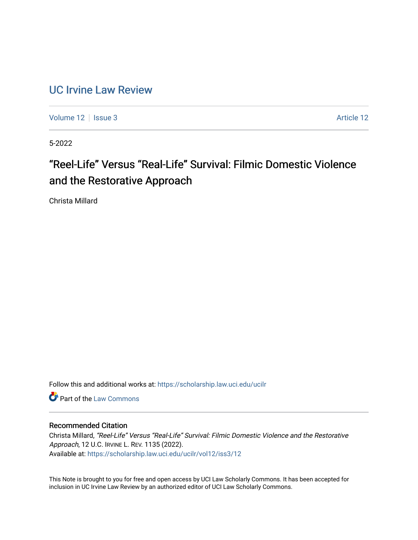### [UC Irvine Law Review](https://scholarship.law.uci.edu/ucilr)

[Volume 12](https://scholarship.law.uci.edu/ucilr/vol12) | [Issue 3](https://scholarship.law.uci.edu/ucilr/vol12/iss3) Article 12

5-2022

# "Reel-Life" Versus "Real-Life" Survival: Filmic Domestic Violence and the Restorative Approach

Christa Millard

Follow this and additional works at: [https://scholarship.law.uci.edu/ucilr](https://scholarship.law.uci.edu/ucilr?utm_source=scholarship.law.uci.edu%2Fucilr%2Fvol12%2Fiss3%2F12&utm_medium=PDF&utm_campaign=PDFCoverPages)

**C** Part of the [Law Commons](https://network.bepress.com/hgg/discipline/578?utm_source=scholarship.law.uci.edu%2Fucilr%2Fvol12%2Fiss3%2F12&utm_medium=PDF&utm_campaign=PDFCoverPages)

### Recommended Citation

Christa Millard, "Reel-Life" Versus "Real-Life" Survival: Filmic Domestic Violence and the Restorative Approach, 12 U.C. IRVINE L. REV. 1135 (2022). Available at: [https://scholarship.law.uci.edu/ucilr/vol12/iss3/12](https://scholarship.law.uci.edu/ucilr/vol12/iss3/12?utm_source=scholarship.law.uci.edu%2Fucilr%2Fvol12%2Fiss3%2F12&utm_medium=PDF&utm_campaign=PDFCoverPages) 

This Note is brought to you for free and open access by UCI Law Scholarly Commons. It has been accepted for inclusion in UC Irvine Law Review by an authorized editor of UCI Law Scholarly Commons.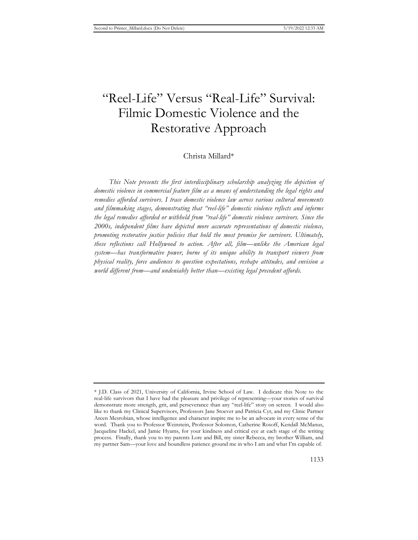## "Reel-Life" Versus "Real-Life" Survival: Filmic Domestic Violence and the Restorative Approach

#### Christa Millard\*

*This Note presents the first interdisciplinary scholarship analyzing the depiction of domestic violence in commercial feature film as a means of understanding the legal rights and remedies afforded survivors. I trace domestic violence law across various cultural movements and filmmaking stages, demonstrating that "reel-life" domestic violence reflects and informs the legal remedies afforded or withheld from "real-life" domestic violence survivors. Since the 2000s, independent films have depicted more accurate representations of domestic violence, promoting restorative justice policies that hold the most promise for survivors. Ultimately, these reflections call Hollywood to action. After all, film—unlike the American legal system—has transformative power, borne of its unique ability to transport viewers from physical reality, force audiences to question expectations, reshape attitudes, and envision a world different from—and undeniably better than—existing legal precedent affords.*

<sup>\*</sup> J.D. Class of 2021, University of California, Irvine School of Law. I dedicate this Note to the real-life survivors that I have had the pleasure and privilege of representing—your stories of survival demonstrate more strength, grit, and perseverance than any "reel-life" story on screen. I would also like to thank my Clinical Supervisors, Professors Jane Stoever and Patricia Cyr, and my Clinic Partner Areen Mesrobian, whose intelligence and character inspire me to be an advocate in every sense of the word. Thank you to Professor Weinstein, Professor Solomon, Catherine Rosoff, Kendall McManus, Jacqueline Hackel, and Jamie Hyams, for your kindness and critical eye at each stage of the writing process. Finally, thank you to my parents Lore and Bill, my sister Rebecca, my brother William, and my partner Sam—your love and boundless patience ground me in who I am and what I'm capable of.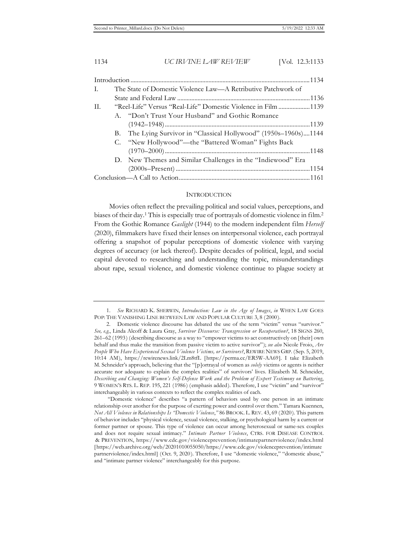| L. | The State of Domestic Violence Law—A Retributive Patchwork of |                                                                  |  |
|----|---------------------------------------------------------------|------------------------------------------------------------------|--|
|    |                                                               |                                                                  |  |
| П. | "Reel-Life" Versus "Real-Life" Domestic Violence in Film 1139 |                                                                  |  |
|    |                                                               | A. "Don't Trust Your Husband" and Gothic Romance                 |  |
|    |                                                               |                                                                  |  |
|    |                                                               | B. The Lying Survivor in "Classical Hollywood" (1950s-1960s)1144 |  |
|    |                                                               | C. "New Hollywood"—the "Battered Woman" Fights Back              |  |
|    |                                                               |                                                                  |  |
|    |                                                               | D. New Themes and Similar Challenges in the "Indiewood" Era      |  |
|    |                                                               |                                                                  |  |
|    |                                                               |                                                                  |  |

#### INTRODUCTION

Movies often reflect the prevailing political and social values, perceptions, and biases of their day.<sup>1</sup> This is especially true of portrayals of domestic violence in film.<sup>2</sup> From the Gothic Romance *Gaslight* (1944) to the modern independent film *Herself* (2020), filmmakers have fixed their lenses on interpersonal violence, each portrayal offering a snapshot of popular perceptions of domestic violence with varying degrees of accuracy (or lack thereof). Despite decades of political, legal, and social capital devoted to researching and understanding the topic, misunderstandings about rape, sexual violence, and domestic violence continue to plague society at

<sup>1.</sup> *See* RICHARD K. SHERWIN, *Introduction: Law in the Age of Images*, *in* WHEN LAW GOES POP: THE VANISHING LINE BETWEEN LAW AND POPULAR CULTURE 3, 8 (2000).

<sup>2.</sup> Domestic violence discourse has debated the use of the term "victim" versus "survivor." *See, e.g.*, Linda Alcoff & Laura Gray, *Survivor Discourse: Transgression or Recuperation?*, 18 SIGNS 260, 261–62 (1993) (describing discourse as a way to "empower victims to act constructively on [their] own behalf and thus make the transition from passive victim to active survivor"); *see also* Nicole Froio, *Are People Who Have Experienced Sexual Violence Victims, or Survivors?*, REWIRE NEWS GRP. (Sep. 5, 2019, 10:14 AM), https://rewirenews.link/2Lm8tfL [https://perma.cc/ER5W-AA69]. I take Elizabeth M. Schneider's approach, believing that the "[p]ortrayal of women as *solely* victims or agents is neither accurate nor adequate to explain the complex realities" of survivors' lives. Elizabeth M. Schneider, *Describing and Changing: Women's Self-Defense Work and the Problem of Expert Testimony on Battering*, 9 WOMEN'S RTS. L. REP. 195, 221 (1986) (emphasis added). Therefore, I use "victim" and "survivor" interchangeably in various contexts to reflect the complex realities of each.

 <sup>&</sup>quot;Domestic violence" describes "a pattern of behaviors used by one person in an intimate relationship over another for the purpose of exerting power and control over them." Tamara Kuennen, *Not All Violence in Relationships Is "Domestic Violence*,*"* 86 BROOK. L. REV. 43, 69 (2020). This pattern of behavior includes "physical violence, sexual violence, stalking, or psychological harm by a current or former partner or spouse. This type of violence can occur among heterosexual or same-sex couples and does not require sexual intimacy." *Intimate Partner Violence*, CTRS. FOR DISEASE CONTROL & PREVENTION, https://www.cdc.gov/violenceprevention/intimatepartnerviolence/index.html [https://web.archive.org/web/20201010055050/https://www.cdc.gov/violenceprevention/intimate partnerviolence/index.html] (Oct. 9, 2020). Therefore, I use "domestic violence," "domestic abuse," and "intimate partner violence" interchangeably for this purpose.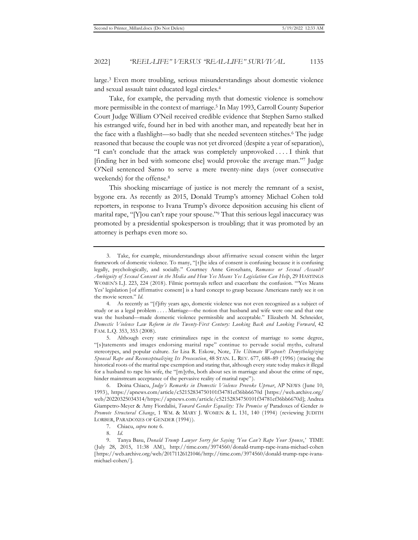large.3 Even more troubling, serious misunderstandings about domestic violence and sexual assault taint educated legal circles.4

Take, for example, the pervading myth that domestic violence is somehow more permissible in the context of marriage.5 In May 1993, Carroll County Superior Court Judge William O'Neil received credible evidence that Stephen Sarno stalked his estranged wife, found her in bed with another man, and repeatedly beat her in the face with a flashlight—so badly that she needed seventeen stitches.6 The judge reasoned that because the couple was not yet divorced (despite a year of separation), "I can't conclude that the attack was completely unprovoked . . . . I think that [finding her in bed with someone else] would provoke the average man."7 Judge O'Neil sentenced Sarno to serve a mere twenty-nine days (over consecutive weekends) for the offense.8

This shocking miscarriage of justice is not merely the remnant of a sexist, bygone era. As recently as 2015, Donald Trump's attorney Michael Cohen told reporters, in response to Ivana Trump's divorce deposition accusing his client of marital rape, "[Y]ou can't rape your spouse."9 That this serious legal inaccuracy was promoted by a presidential spokesperson is troubling; that it was promoted by an attorney is perhaps even more so.

<sup>3.</sup> Take, for example, misunderstandings about affirmative sexual consent within the larger framework of domestic violence. To many, "[t]he idea of consent is confusing because it is confusing legally, psychologically, and socially." Courtney Anne Groszhans, *Romance or Sexual Assault? Ambiguity of Sexual Consent in the Media and How Yes Means Yes Legislation Can Help*, 29 HASTINGS WOMEN'S L.J. 223, 224 (2018). Filmic portrayals reflect and exacerbate the confusion. "'Yes Means Yes' legislation [of affirmative consent] is a hard concept to grasp because Americans rarely see it on the movie screen." *Id.*

<sup>4.</sup> As recently as "[f]ifty years ago, domestic violence was not even recognized as a subject of study or as a legal problem . . . . Marriage—the notion that husband and wife were one and that one was the husband—made domestic violence permissible and acceptable." Elizabeth M. Schneider, *Domestic Violence Law Reform in the Twenty-First Century: Looking Back and Looking Forward*, 42 FAM. L.Q. 353, 353 (2008).

<sup>5.</sup> Although every state criminalizes rape in the context of marriage to some degree, "[s]tatements and images endorsing marital rape" continue to pervade social myths, cultural stereotypes, and popular culture. *See* Lisa R. Eskow, Note, *The Ultimate Weapon?: Demythologizing Spousal Rape and Reconceptualizing Its Prosecution*, 48 STAN. L. REV. 677, 688–89 (1996) (tracing the historical roots of the marital rape exemption and stating that, although every state today makes it illegal for a husband to rape his wife, the "[m]yths, both about sex in marriage and about the crime of rape, hinder mainstream acceptance of the pervasive reality of marital rape").

<sup>6.</sup> Doina Chiacu, *Judge's Remarks in Domestic Violence Provoke Uproar*, AP NEWS (June 10, 1993), https://apnews.com/article/c52152834750101f34781ef36bb6670d [https://web.archive.org/ web/20220325034314/https://apnews.com/article/c52152834750101f34781ef36bb6670d]; Andrea Giampetro-Meyer & Amy Fiordalisi, *Toward Gender Equality: The Promise of* Paradoxes of Gender *to Promote Structural Change*, 1 WM. & MARY J. WOMEN & L. 131, 140 (1994) (reviewing JUDITH LORBER, PARADOXES OF GENDER (1994)).

<sup>7.</sup> Chiacu, *supra* note 6.

<sup>8.</sup> *Id.*

<sup>9.</sup> Tanya Basu, *Donald Trump Lawyer Sorry for Saying 'You Can't Rape Your Spouse*,*'* TIME (July 28, 2015, 11:38 AM), http://time.com/3974560/donald-trump-rape-ivana-michael-cohen [https://web.archive.org/web/20171126121046/http://time.com/3974560/donald-trump-rape-ivanamichael-cohen/].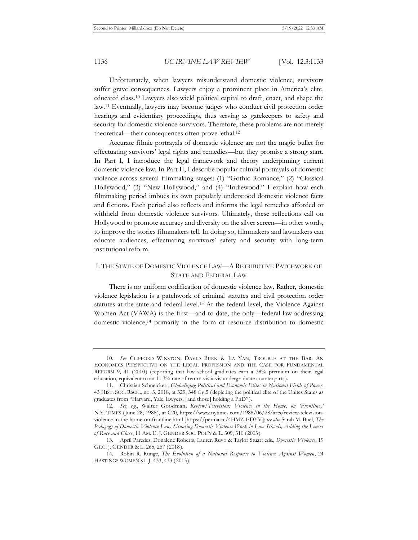Unfortunately, when lawyers misunderstand domestic violence, survivors suffer grave consequences. Lawyers enjoy a prominent place in America's elite, educated class.10 Lawyers also wield political capital to draft, enact, and shape the law.11 Eventually, lawyers may become judges who conduct civil protection order hearings and evidentiary proceedings, thus serving as gatekeepers to safety and security for domestic violence survivors. Therefore, these problems are not merely theoretical—their consequences often prove lethal.12

Accurate filmic portrayals of domestic violence are not the magic bullet for effectuating survivors' legal rights and remedies—but they promise a strong start. In Part I, I introduce the legal framework and theory underpinning current domestic violence law. In Part II, I describe popular cultural portrayals of domestic violence across several filmmaking stages: (1) "Gothic Romance," (2) "Classical Hollywood," (3) "New Hollywood," and (4) "Indiewood." I explain how each filmmaking period imbues its own popularly understood domestic violence facts and fictions. Each period also reflects and informs the legal remedies afforded or withheld from domestic violence survivors. Ultimately, these reflections call on Hollywood to promote accuracy and diversity on the silver screen—in other words, to improve the stories filmmakers tell. In doing so, filmmakers and lawmakers can educate audiences, effectuating survivors' safety and security with long-term institutional reform.

#### I. THE STATE OF DOMESTIC VIOLENCE LAW—A RETRIBUTIVE PATCHWORK OF STATE AND FEDERAL LAW

There is no uniform codification of domestic violence law. Rather, domestic violence legislation is a patchwork of criminal statutes and civil protection order statutes at the state and federal level.13 At the federal level, the Violence Against Women Act (VAWA) is the first—and to date, the only—federal law addressing domestic violence,14 primarily in the form of resource distribution to domestic

<sup>10.</sup> *See* CLIFFORD WINSTON, DAVID BURK & JIA YAN, TROUBLE AT THE BAR: AN ECONOMICS PERSPECTIVE ON THE LEGAL PROFESSION AND THE CASE FOR FUNDAMENTAL REFORM 9, 41 (2010) (reporting that law school graduates earn a 38% premium on their legal education, equivalent to an 11.3% rate of return vis-à-vis undergraduate counterparts).

<sup>11.</sup> Christian Schneickert, *Globalizing Political and Economic Elites in National Fields of Power*, 43 HIST. SOC. RSCH., no. 3, 2018, at 329, 348 fig.5 (depicting the political elite of the Unites States as graduates from "Harvard, Yale, lawyers, [and those] holding a PhD").

<sup>12.</sup> *See, e.g.*, Walter Goodman, *Review/Television; Violence in the Home, on 'Frontline*,*'*  N.Y. TIMES (June 28, 1988), at C20, https://www.nytimes.com/1988/06/28/arts/review-televisionviolence-in-the-home-on-frontline.html [https://perma.cc/4HMZ-EDYV]; *see also* Sarah M. Buel, *The Pedagogy of Domestic Violence Law: Situating Domestic Violence Work in Law Schools, Adding the Lenses of Race and Class*, 11 AM. U. J. GENDER SOC. POL'Y & L. 309, 310 (2003).

<sup>13.</sup> April Paredes, Donalene Roberts, Lauren Ruvo & Taylor Stuart eds., *Domestic Violence*, 19 GEO. J. GENDER & L. 265, 267 (2018).

<sup>14.</sup> Robin R. Runge, *The Evolution of a National Response to Violence Against Women*, 24 HASTINGS WOMEN'S L.J. 433, 433 (2013).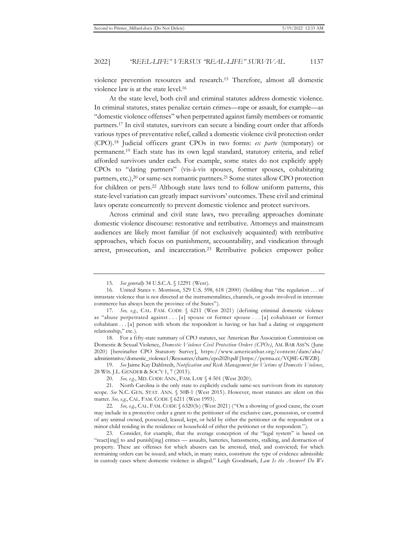violence prevention resources and research.15 Therefore, almost all domestic violence law is at the state level.16

At the state level, both civil and criminal statutes address domestic violence. In criminal statutes, states penalize certain crimes—rape or assault, for example—as "domestic violence offenses" when perpetrated against family members or romantic partners.17 In civil statutes, survivors can secure a binding court order that affords various types of preventative relief, called a domestic violence civil protection order (CPO).18 Judicial officers grant CPOs in two forms: *ex parte* (temporary) or permanent.19 Each state has its own legal standard, statutory criteria, and relief afforded survivors under each. For example, some states do not explicitly apply CPOs to "dating partners" (vis-à-vis spouses, former spouses, cohabitating partners, etc.),<sup>20</sup> or same-sex romantic partners.<sup>21</sup> Some states allow CPO protection for children or pets.<sup>22</sup> Although state laws tend to follow uniform patterns, this state-level variation can greatly impact survivors' outcomes. These civil and criminal laws operate concurrently to prevent domestic violence and protect survivors.

Across criminal and civil state laws, two prevailing approaches dominate domestic violence discourse: restorative and retributive. Attorneys and mainstream audiences are likely most familiar (if not exclusively acquainted) with retributive approaches, which focus on punishment, accountability, and vindication through arrest, prosecution, and incarceration.23 Retributive policies empower police

19. *See* Jaime Kay Dahlstedt, *Notification and Risk Management for Victims of Domestic Violence*, 28 WIS. J.L. GENDER & SOC'Y 1, 7 (2013).

20. *See, e.g.*, MD. CODE ANN., FAM. LAW § 4-501 (West 2020).

21. North Carolina is the only state to explicitly exclude same-sex survivors from its statutory scope. *See* N.C. GEN. STAT. ANN. § 50B-1 (West 2015). However, most statutes are silent on this matter. *See, e.g.*, CAL. FAM. CODE § 6211 (West 1993).

<sup>15.</sup> *See generally* 34 U.S.C.A. § 12291 (West).

<sup>16.</sup> United States v. Morrison, 529 U.S. 598, 618 (2000) (holding that "the regulation . . . of intrastate violence that is not directed at the instrumentalities, channels, or goods involved in interstate commerce has always been the province of the States").

<sup>17.</sup> *See, e.g.*, CAL. FAM. CODE § 6211 (West 2021) (defining criminal domestic violence as "abuse perpetrated against . . . [a] spouse or former spouse . . . [a] cohabitant or former cohabitant . . . [a] person with whom the respondent is having or has had a dating or engagement relationship," etc.).

<sup>18.</sup> For a fifty-state summary of CPO statutes, see American Bar Association Commission on Domestic & Sexual Violence, *Domestic Violence Civil Protection Orders (CPOs)*, AM. BAR ASS'N (June 2020) [hereinafter CPO Statutory Survey], https://www.americanbar.org/content/dam/aba/ administrative/domestic\_violence1/Resources/charts/cpo2020.pdf [https://perma.cc/VQ8E-GWZB].

<sup>22.</sup> *See, e.g.*, CAL. FAM. CODE § 6320(b) (West 2021) ("On a showing of good cause, the court may include in a protective order a grant to the petitioner of the exclusive care, possession, or control of any animal owned, possessed, leased, kept, or held by either the petitioner or the respondent or a minor child residing in the residence or household of either the petitioner or the respondent.").

<sup>23.</sup> Consider, for example, that the average conception of the "legal system" is based on "react[ing] to and punish[ing] crimes — assaults, batteries, harassments, stalking, and destruction of property. These are offenses for which abusers can be arrested, tried, and convicted; for which restraining orders can be issued; and which, in many states, constitute the type of evidence admissible in custody cases where domestic violence is alleged." Leigh Goodmark, *Law Is the Answer? Do We*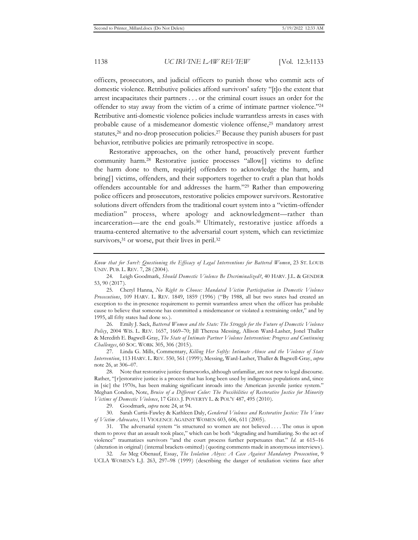officers, prosecutors, and judicial officers to punish those who commit acts of domestic violence. Retributive policies afford survivors' safety "[t]o the extent that arrest incapacitates their partners . . . or the criminal court issues an order for the offender to stay away from the victim of a crime of intimate partner violence."24 Retributive anti-domestic violence policies include warrantless arrests in cases with probable cause of a misdemeanor domestic violence offense,25 mandatory arrest statutes,26 and no-drop prosecution policies.27 Because they punish abusers for past behavior, retributive policies are primarily retrospective in scope.

Restorative approaches, on the other hand, proactively prevent further community harm.28 Restorative justice processes "allow[] victims to define the harm done to them, requir[e] offenders to acknowledge the harm, and bring[] victims, offenders, and their supporters together to craft a plan that holds offenders accountable for and addresses the harm."29 Rather than empowering police officers and prosecutors, restorative policies empower survivors. Restorative solutions divert offenders from the traditional court system into a "victim-offender mediation" process, where apology and acknowledgment—rather than incarceration—are the end goals.30 Ultimately, restorative justice affords a trauma-centered alternative to the adversarial court system, which can revictimize survivors,<sup>31</sup> or worse, put their lives in peril.<sup>32</sup>

*Know that for Sure?: Questioning the Efficacy of Legal Interventions for Battered Women*, 23 ST. LOUIS UNIV. PUB. L. REV. 7, 28 (2004).

25. Cheryl Hanna, *No Right to Choose: Mandated Victim Participation in Domestic Violence Prosecutions*, 109 HARV. L. REV. 1849, 1859 (1996) ("By 1988, all but two states had created an exception to the in-presence requirement to permit warrantless arrest when the officer has probable cause to believe that someone has committed a misdemeanor or violated a restraining order," and by 1995, all fifty states had done so.).

26. Emily J. Sack, *Battered Women and the State: The Struggle for the Future of Domestic Violence Policy*, 2004 WIS. L. REV. 1657, 1669–70; Jill Theresa Messing, Allison Ward-Lasher, Jonel Thaller & Meredith E. Bagwell-Gray, *The State of Intimate Partner Violence Intervention: Progress and Continuing Challenges*, 60 SOC. WORK 305, 306 (2015).

27. Linda G. Mills, Commentary, *Killing Her Softly: Intimate Abuse and the Violence of State Intervention*, 113 HARV. L. REV. 550, 561 (1999); Messing, Ward-Lasher, Thaller & Bagwell-Gray, *supra*  note 26, at 306–07.

28. Note that restorative justice frameworks, although unfamiliar, are not new to legal discourse. Rather, "[r]estorative justice is a process that has long been used by indigenous populations and, since in [sic] the 1970s, has been making significant inroads into the American juvenile justice system." Meghan Condon, Note, *Bruise of a Different Color: The Possibilities of Restorative Justice for Minority Victims of Domestic Violence*, 17 GEO. J. POVERTY L. & POL'Y 487, 495 (2010).

29. Goodmark, *supra* note 24, at 94.

30. Sarah Curtis-Fawley & Kathleen Daly, *Gendered Violence and Restorative Justice: The Views of Victim Advocates*, 11 VIOLENCE AGAINST WOMEN 603, 606, 611 (2005).

31. The adversarial system "is structured so women are not believed . . . . The onus is upon them to prove that an assault took place," which can be both "degrading and humiliating. So the act of violence" traumatizes survivors "and the court process further perpetuates that." *Id.* at 615–16 (alteration in original) (internal brackets omitted) (quoting comments made in anonymous interviews).

32. *See* Meg Obenauf, Essay, *The Isolation Abyss: A Case Against Mandatory Prosecution*, 9 UCLA WOMEN'S L.J. 263, 297–98 (1999) (describing the danger of retaliation victims face after

<sup>24.</sup> Leigh Goodmark, *Should Domestic Violence Be Decriminalized?*, 40 HARV. J.L. & GENDER 53, 90 (2017).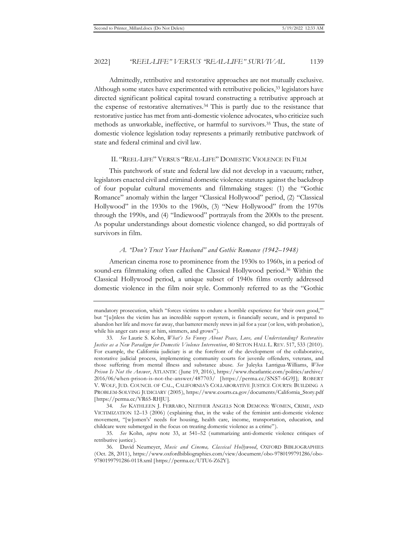Admittedly, retributive and restorative approaches are not mutually exclusive. Although some states have experimented with retributive policies,<sup>33</sup> legislators have directed significant political capital toward constructing a retributive approach at the expense of restorative alternatives.34 This is partly due to the resistance that restorative justice has met from anti-domestic violence advocates, who criticize such methods as unworkable, ineffective, or harmful to survivors.35 Thus, the state of domestic violence legislation today represents a primarily retributive patchwork of state and federal criminal and civil law.

#### II. "REEL-LIFE" VERSUS "REAL-LIFE" DOMESTIC VIOLENCE IN FILM

This patchwork of state and federal law did not develop in a vacuum; rather, legislators enacted civil and criminal domestic violence statutes against the backdrop of four popular cultural movements and filmmaking stages: (1) the "Gothic Romance" anomaly within the larger "Classical Hollywood" period, (2) "Classical Hollywood" in the 1930s to the 1960s, (3) "New Hollywood" from the 1970s through the 1990s, and (4) "Indiewood" portrayals from the 2000s to the present. As popular understandings about domestic violence changed, so did portrayals of survivors in film.

#### *A. "Don't Trust Your Husband" and Gothic Romance (1942–1948)*

American cinema rose to prominence from the 1930s to 1960s, in a period of sound-era filmmaking often called the Classical Hollywood period.<sup>36</sup> Within the Classical Hollywood period, a unique subset of 1940s films overtly addressed domestic violence in the film noir style. Commonly referred to as the "Gothic

mandatory prosecution, which "forces victims to endure a horrible experience for 'their own good,'" but "[u]nless the victim has an incredible support system, is financially secure, and is prepared to abandon her life and move far away, that batterer merely stews in jail for a year (or less, with probation), while his anger eats away at him, simmers, and grows").

<sup>33.</sup> *See* Laurie S. Kohn, *What's So Funny About Peace, Love, and Understanding? Restorative Justice as a New Paradigm for Domestic Violence Intervention*, 40 SETON HALL L. REV. 517, 533 (2010). For example, the California judiciary is at the forefront of the development of the collaborative, restorative judicial process, implementing community courts for juvenile offenders, veterans, and those suffering from mental illness and substance abuse. *See* Juleyka Lantigua-Williams, *When Prison Is Not the Answer*, ATLANTIC (June 19, 2016), https://www.theatlantic.com/politics/archive/ 2016/06/when-prison-is-not-the-answer/487703/ [https://perma.cc/SNS7-6G9J]; ROBERT V. WOLF, JUD. COUNCIL OF CAL., CALIFORNIA'S COLLABORATIVE JUSTICE COURTS: BUILDING A PROBLEM-SOLVING JUDICIARY (2005), https://www.courts.ca.gov/documents/California\_Story.pdf [https://perma.cc/VR65-RHJU].

<sup>34.</sup> *See* KATHLEEN J. FERRARO, NEITHER ANGELS NOR DEMONS: WOMEN, CRIME, AND VICTIMIZATION 12–13 (2006) (explaining that, in the wake of the feminist anti-domestic violence movement, "[w]omen's' needs for housing, health care, income, transportation, education, and childcare were submerged in the focus on treating domestic violence as a crime").

<sup>35.</sup> *See* Kohn, *supra* note 33, at 541–52 (summarizing anti-domestic violence critiques of retributive justice).

<sup>36.</sup> David Neumeyer, *Music and Cinema, Classical Hollywood*, OXFORD BIBLIOGRAPHIES (Oct. 28, 2011), https://www.oxfordbibliographies.com/view/document/obo-9780199791286/obo-9780199791286-0118.xml [https://perma.cc/UTU6-Z62Y].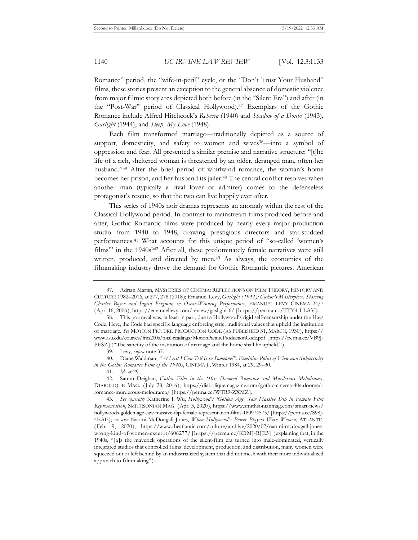Romance" period, the "wife-in-peril" cycle, or the "Don't Trust Your Husband" films, these stories present an exception to the general absence of domestic violence from major filmic story arcs depicted both before (in the "Silent Era") and after (in the "Post-War" period of Classical Hollywood).37 Exemplars of the Gothic Romance include Alfred Hitchcock's *Rebecca* (1940) and *Shadow of a Doubt* (1943), *Gaslight* (1944), and *Sleep, My Love* (1948).

Each film transformed marriage—traditionally depicted as a source of support, domesticity, and safety to women and wives<sup>38</sup>—into a symbol of oppression and fear. All presented a similar premise and narrative structure: "[t]he life of a rich, sheltered woman is threatened by an older, deranged man, often her husband."<sup>39</sup> After the brief period of whirlwind romance, the woman's home becomes her prison, and her husband its jailer.40 The central conflict resolves when another man (typically a rival lover or admirer) comes to the defenseless protagonist's rescue, so that the two can live happily ever after.

This series of 1940s noir dramas represents an anomaly within the rest of the Classical Hollywood period. In contrast to mainstream films produced before and after, Gothic Romantic films were produced by nearly every major production studio from 1940 to 1948, drawing prestigious directors and star-studded performances.41 What accounts for this unique period of "so-called 'women's films" in the 1940s?<sup>42</sup> After all, these predominately female narratives were still written, produced, and directed by men.43 As always, the economics of the filmmaking industry drove the demand for Gothic Romantic pictures. American

<sup>37.</sup> Adrian Martin, MYSTERIES OF CINEMA: REFLECTIONS ON FILM THEORY, HISTORY AND CULTURE 1982–2016, at 277, 278 (2018); Emanuel Levy, *Gaslight (1944): Cukor's Masterpiece, Starring Charles Boyer and Ingrid Bergman in Oscar-Winning Performance*, EMANUEL LEVY CINEMA 24/7 (Apr. 16, 2006), https://emanuellevy.com/review/gaslight-6/ [https://perma.cc/TTY4-LLAV].

<sup>38.</sup> This portrayal was, at least in part, due to Hollywood's rigid self-censorship under the Hays Code. Here, the Code had specific language enforcing strict traditional values that upheld the institution of marriage. *See* MOTION PICTURE PRODUCTION CODE (AS PUBLISHED 31, MARCH, 1930), https:// www.asu.edu/courses/fms200s/total-readings/MotionPictureProductionCode.pdf [https://perma.cc/VB9J-PESZ] ("The sanctity of the institution of marriage and the home shall be upheld.").

<sup>39.</sup> Levy, *supra* note 37.

<sup>40.</sup> Diane Waldman, *"At Last I Can Tell It to Someone!": Feminine Point of View and Subjectivity in the Gothic Romance Film of the 1940s*, CINEMA J., Winter 1984, at 29, 29–30.

<sup>41.</sup> *Id.* at 29.

<sup>42.</sup> Samm Deighan, *Gothic Film in the '40s: Doomed Romance and Murderous Melodrama*, DIABOLIQUE MAG. (July 28, 2016), https://diaboliquemagazine.com/gothic-cinema-40s-doomedromance-murderous-melodrama/ [https://perma.cc/WTR9-ZXMZ].

<sup>43.</sup> *See generally* Katherine J. Wu, *Hollywood's 'Golden Age' Saw Massive Dip in Female Film Representation*, SMITHSONIAN MAG. (Apr. 3, 2020), https://www.smithsonianmag.com/smart-news/ hollywoods-golden-age-saw-massive-dip-female-representation-films-180974573/ [https://perma.cc/S98J-4EAE]; *see also* Naomi McDougall Jones, *When Hollywood's Power Players Were Women*, ATLANTIC (Feb. 9, 2020), https://www.theatlantic.com/culture/archive/2020/02/naomi-mcdougall-joneswrong-kind-of-women-excerpt/606277/ [https://perma.cc/8DMJ-RJE3] (explaining that, in the 1940s, "[a]s the maverick operations of the silent-film era turned into male-dominated, vertically integrated studios that controlled films' development, production, and distribution, many women were squeezed out or left behind by an industrialized system that did not mesh with their more individualized approach to filmmaking").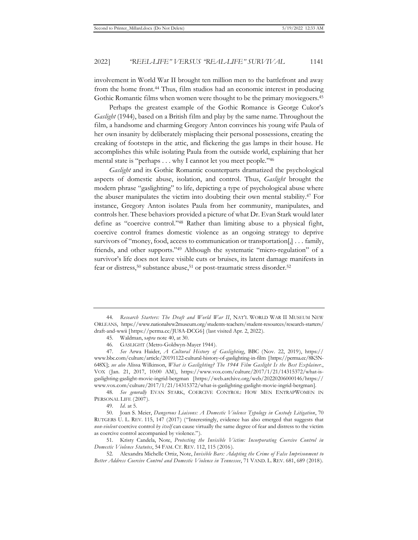involvement in World War II brought ten million men to the battlefront and away from the home front.44 Thus, film studios had an economic interest in producing Gothic Romantic films when women were thought to be the primary moviegoers.<sup>45</sup>

Perhaps the greatest example of the Gothic Romance is George Cukor's *Gaslight* (1944), based on a British film and play by the same name. Throughout the film, a handsome and charming Gregory Anton convinces his young wife Paula of her own insanity by deliberately misplacing their personal possessions, creating the creaking of footsteps in the attic, and flickering the gas lamps in their house. He accomplishes this while isolating Paula from the outside world, explaining that her mental state is "perhaps . . . why I cannot let you meet people."46

*Gaslight* and its Gothic Romantic counterparts dramatized the psychological aspects of domestic abuse, isolation, and control. Thus, *Gaslight* brought the modern phrase "gaslighting" to life, depicting a type of psychological abuse where the abuser manipulates the victim into doubting their own mental stability.47 For instance, Gregory Anton isolates Paula from her community, manipulates, and controls her. These behaviors provided a picture of what Dr. Evan Stark would later define as "coercive control."48 Rather than limiting abuse to a physical fight, coercive control frames domestic violence as an ongoing strategy to deprive survivors of "money, food, access to communication or transportation[,] . . . family, friends, and other supports."49 Although the systematic "micro-regulation" of a survivor's life does not leave visible cuts or bruises, its latent damage manifests in fear or distress,<sup>50</sup> substance abuse,<sup>51</sup> or post-traumatic stress disorder.<sup>52</sup>

48. *See generally* EVAN STARK, COERCIVE CONTROL: HOW MEN ENTRAPWOMEN IN PERSONAL LIFE (2007).

49. *Id.* at 5.

51. Kristy Candela, Note, *Protecting the Invisible Victim: Incorporating Coercive Control in Domestic Violence Statutes*, 54 FAM. CT. REV. 112, 115 (2016).

<sup>44.</sup> *Research Starters: The Draft and World War II*, NAT'L WORLD WAR II MUSEUM NEW ORLEANS, https://www.nationalww2museum.org/students-teachers/student-resources/research-starters/ draft-and-wwii [https://perma.cc/JU8A-DCG6] (last visited Apr. 2, 2022).

<sup>45.</sup> Waldman, s*upra* note 40, at 30.

<sup>46.</sup> GASLIGHT (Metro-Goldwyn-Mayer 1944).

<sup>47.</sup> *See* Arwa Haider, *A Cultural History of Gaslighting*, BBC (Nov. 22, 2019), https:// www.bbc.com/culture/article/20191122-cultural-history-of-gaslighting-in-film [https://perma.cc/8K5N-648X]; *see also* Alissa Wilkinson, *What is Gaslighting? The 1944 Film Gaslight Is the Best Explainer.*, VOX (Jan. 21, 2017, 10:00 AM), https://www.vox.com/culture/2017/1/21/14315372/what-isgaslighting-gaslight-movie-ingrid-bergman [https://web.archive.org/web/20220206000146/https:// www.vox.com/culture/2017/1/21/14315372/what-is-gaslighting-gaslight-movie-ingrid-bergman].

<sup>50.</sup> Joan S. Meier, *Dangerous Liaisons: A Domestic Violence Typology in Custody Litigation*, 70 RUTGERS U. L. REV. 115, 147 (2017) ("Interestingly, evidence has also emerged that suggests that *non-violent* coercive control *by itself* can cause virtually the same degree of fear and distress to the victim as coercive control accompanied by violence.").

<sup>52.</sup> Alexandra Michelle Ortiz, Note, *Invisible Bars: Adapting the Crime of False Imprisonment to Better Address Coercive Control and Domestic Violence in Tennessee*, 71 VAND. L. REV. 681, 689 (2018).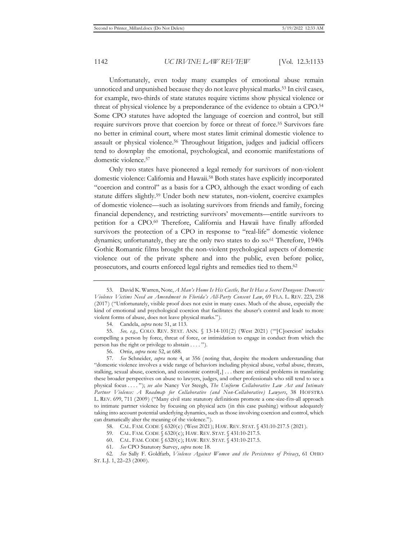Unfortunately, even today many examples of emotional abuse remain unnoticed and unpunished because they do not leave physical marks.53 In civil cases, for example, two-thirds of state statutes require victims show physical violence or threat of physical violence by a preponderance of the evidence to obtain a CPO.54 Some CPO statutes have adopted the language of coercion and control, but still require survivors prove that coercion by force or threat of force.55 Survivors fare no better in criminal court, where most states limit criminal domestic violence to assault or physical violence.56 Throughout litigation, judges and judicial officers tend to downplay the emotional, psychological, and economic manifestations of domestic violence.57

Only two states have pioneered a legal remedy for survivors of non-violent domestic violence: California and Hawaii.58 Both states have explicitly incorporated "coercion and control" as a basis for a CPO, although the exact wording of each statute differs slightly.59 Under both new statutes, non-violent, coercive examples of domestic violence—such as isolating survivors from friends and family, forcing financial dependency, and restricting survivors' movements—entitle survivors to petition for a CPO.60 Therefore, California and Hawaii have finally afforded survivors the protection of a CPO in response to "real-life" domestic violence dynamics; unfortunately, they are the only two states to do so.61 Therefore, 1940s Gothic Romantic films brought the non-violent psychological aspects of domestic violence out of the private sphere and into the public, even before police, prosecutors, and courts enforced legal rights and remedies tied to them.62

- 59. CAL. FAM. CODE § 6320(c); HAW. REV. STAT. § 431:10-217.5.
- 60. CAL. FAM. CODE § 6320(c); HAW. REV. STAT. § 431:10-217.5.

<sup>53.</sup> David K. Warren, Note, *A Man's Home Is His Castle, But It Has a Secret Dungeon: Domestic Violence Victims Need an Amendment to Florida's All-Party Consent Law*, 69 FLA. L. REV. 223, 238 (2017) ("Unfortunately, visible proof does not exist in many cases. Much of the abuse, especially the kind of emotional and psychological coercion that facilitates the abuser's control and leads to more violent forms of abuse, does not leave physical marks.").

<sup>54.</sup> Candela, *supra* note 51, at 113.

<sup>55.</sup> *See, e.g.*, COLO. REV. STAT. ANN. § 13-14-101(2) (West 2021) ("'[C]oercion' includes compelling a person by force, threat of force, or intimidation to engage in conduct from which the person has the right or privilege to abstain . . . . ").

<sup>56.</sup> Ortiz, *supra* note 52, at 688.

<sup>57.</sup> *See* Schneider, *supra* note 4, at 356 (noting that, despite the modern understanding that "domestic violence involves a wide range of behaviors including physical abuse, verbal abuse, threats, stalking, sexual abuse, coercion, and economic control[,] . . . there are critical problems in translating these broader perspectives on abuse to lawyers, judges, and other professionals who still tend to see a physical focus . . . . "); *see also* Nancy Ver Steegh, *The Uniform Collaborative Law Act and Intimate Partner Violence: A Roadmap for Collaborative (and Non-Collaborative) Lawyers*, 38 HOFSTRA L. REV. 699, 711 (2009) ("Many civil state statutory definitions promote a one-size-fits-all approach to intimate partner violence by focusing on physical acts (in this case pushing) without adequately taking into account potential underlying dynamics, such as those involving coercion and control, which can dramatically alter the meaning of the violence.").

<sup>58.</sup> CAL. FAM. CODE § 6320(c) (West 2021); HAW. REV. STAT. § 431:10-217.5 (2021).

<sup>61.</sup> *See* CPO Statutory Survey, *supra* note 18.

<sup>62.</sup> *See* Sally F. Goldfarb, *Violence Against Women and the Persistence of Privacy*, 61 OHIO ST. L.J. 1, 22–23 (2000).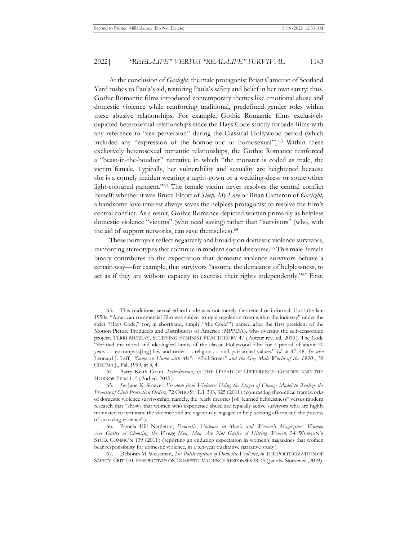At the conclusion of *Gaslight*, the male protagonist Brian Cameron of Scotland Yard rushes to Paula's aid, restoring Paula's safety and belief in her own sanity; thus, Gothic Romantic films introduced contemporary themes like emotional abuse and domestic violence while reinforcing traditional, predefined gender roles within these abusive relationships. For example, Gothic Romantic films exclusively depicted heterosexual relationships since the Hays Code strictly forbade films with any reference to "sex perversion" during the Classical Hollywood period (which included any "expression of the homoerotic or homosexual").63 Within these exclusively heterosexual romantic relationships, the Gothic Romance reinforced a "beast-in-the-boudoir" narrative in which "the monster is coded as male, the victim female. Typically, her vulnerability and sexuality are heightened because she is a comely maiden wearing a night-gown or a wedding-dress or some other light-coloured garment."64 The female victim never resolves the central conflict herself; whether it was Bruce Elcott of *Sleep, My Love* or Brian Cameron of *Gaslight*, a handsome love interest always saves the helpless protagonist to resolve the film's central conflict. As a result, Gothic Romance depicted women primarily as helpless domestic violence "victims" (who need saving) rather than "survivors" (who, with the aid of support networks, can save themselves).65

These portrayals reflect negatively and broadly on domestic violence survivors, reinforcing stereotypes that continue in modern social discourse.<sup>66</sup> This male-female binary contributes to the expectation that domestic violence survivors behave a certain way—for example, that survivors "assume the demeanor of helplessness, to act as if they are without capacity to exercise their rights independently."67 First,

<sup>63.</sup> This traditional sexual ethical code was not merely theoretical or informal. Until the late 1950s, "American commercial film was subject to rigid regulation from within the industry" under the strict "Hays Code," (or, in shorthand, simply "'the Code"') named after the first president of the Motion Picture Producers and Distributors of America (MPPDA), who oversaw the self-censorship project. TERRI MURRAY, STUDYING FEMINIST FILM THEORY 47 (Auteur rev. ed. 2019). The Code "defined the moral and ideological limits of the classic Hollywood film for a period of about 20 years . . . encompass[ing] law and order . . . religion . . . and patriarchal values." *Id*. at 47–48. *See also*  Leonard J. Leff, *"Come on Home with Me": "*42nd Street*" and the Gay Male World of the 1930s*, 39 CINEMA J., Fall 1999, at 3, 4.

<sup>64.</sup> Barry Keith Grant, *Introduction*, *in* THE DREAD OF DIFFERENCE: GENDER AND THE HORROR FILM 1–5 (2nd ed. 2015).

<sup>65.</sup> *See* Jane K. Stoever, *Freedom from Violence: Using the Stages of Change Model to Realize the Promise of Civil Protection Orders*, 72 OHIO ST. L.J. 303, 325 (2011) (contrasting theoretical frameworks of domestic violence survivorship, namely, the "early theories [of] learned helplessness" versus modern research that "shows that women who experience abuse are typically active survivors who are highly motivated to terminate the violence and are vigorously engaged in help-seeking efforts and the process of surviving violence").

<sup>66.</sup> Pamela Hill Nettleton, *Domestic Violence in Men's and Women's Magazines: Women Are Guilty of Choosing the Wrong Men, Men Are Not Guilty of Hitting Women*, 34 WOMEN'S STUD. COMMC'N 139 (2011) (reporting an enduring expectation in women's magazines that women bear responsibility for domestic violence, in a ten-year qualitative narrative study).

<sup>67.</sup> Deborah M. Weissman, *The Politicization of Domestic Violence*, *in* THE POLITICIZATION OF SAFETY: CRITICAL PERSPECTIVES ON DOMESTIC VIOLENCE RESPONSES 38, 45 (Jane K. Stoever ed., 2019).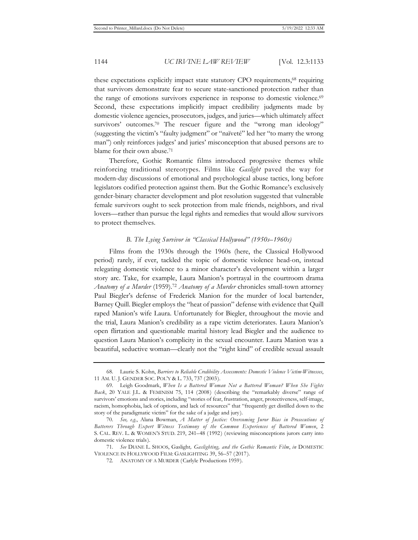these expectations explicitly impact state statutory CPO requirements,<sup>68</sup> requiring that survivors demonstrate fear to secure state-sanctioned protection rather than the range of emotions survivors experience in response to domestic violence.<sup>69</sup> Second, these expectations implicitly impact credibility judgments made by domestic violence agencies, prosecutors, judges, and juries—which ultimately affect survivors' outcomes.<sup>70</sup> The rescuer figure and the "wrong man ideology" (suggesting the victim's "faulty judgment" or "naïveté" led her "to marry the wrong man") only reinforces judges' and juries' misconception that abused persons are to blame for their own abuse.<sup>71</sup>

Therefore, Gothic Romantic films introduced progressive themes while reinforcing traditional stereotypes. Films like *Gaslight* paved the way for modern-day discussions of emotional and psychological abuse tactics, long before legislators codified protection against them. But the Gothic Romance's exclusively gender-binary character development and plot resolution suggested that vulnerable female survivors ought to seek protection from male friends, neighbors, and rival lovers—rather than pursue the legal rights and remedies that would allow survivors to protect themselves.

#### *B. The Lying Survivor in "Classical Hollywood" (1950s–1960s)*

Films from the 1930s through the 1960s (here, the Classical Hollywood period) rarely, if ever, tackled the topic of domestic violence head-on, instead relegating domestic violence to a minor character's development within a larger story arc. Take, for example, Laura Manion's portrayal in the courtroom drama *Anatomy of a Murder* (1959).72 *Anatomy of a Murder* chronicles small-town attorney Paul Biegler's defense of Frederick Manion for the murder of local bartender, Barney Quill. Biegler employs the "heat of passion" defense with evidence that Quill raped Manion's wife Laura. Unfortunately for Biegler, throughout the movie and the trial, Laura Manion's credibility as a rape victim deteriorates. Laura Manion's open flirtation and questionable marital history lead Biegler and the audience to question Laura Manion's complicity in the sexual encounter. Laura Manion was a beautiful, seductive woman—clearly not the "right kind" of credible sexual assault

<sup>68.</sup> Laurie S. Kohn, *Barriers to Reliable Credibility Assessments: Domestic Violence Victim-Witnesses*, 11 AM. U. J. GENDER SOC. POL'Y & L. 733, 737 (2003).

<sup>69.</sup> Leigh Goodmark, *When Is a Battered Woman Not a Battered Woman? When She Fights Back*, 20 YALE J.L. & FEMINISM 75, 114 (2008) (describing the "remarkably diverse" range of survivors' emotions and stories, including "stories of fear, frustration, anger, protectiveness, self-image, racism, homophobia, lack of options, and lack of resources" that "frequently get distilled down to the story of the paradigmatic victim" for the sake of a judge and jury).

<sup>70.</sup> *See, e.g.*, Alana Bowman, *A Matter of Justice: Overcoming Juror Bias in Prosecutions of Batterers Through Expert Witness Testimony of the Common Experiences of Battered Women*, 2 S. CAL. REV. L. & WOMEN'S STUD. 219, 241–48 (1992) (reviewing misconceptions jurors carry into domestic violence trials).

<sup>71.</sup> *See* DIANE L. SHOOS, Gaslight*, Gaslighting, and the Gothic Romantic Film*, *in* DOMESTIC VIOLENCE IN HOLLYWOOD FILM: GASLIGHTING 39, 56–57 (2017).

<sup>72.</sup> ANATOMY OF A MURDER (Carlyle Productions 1959).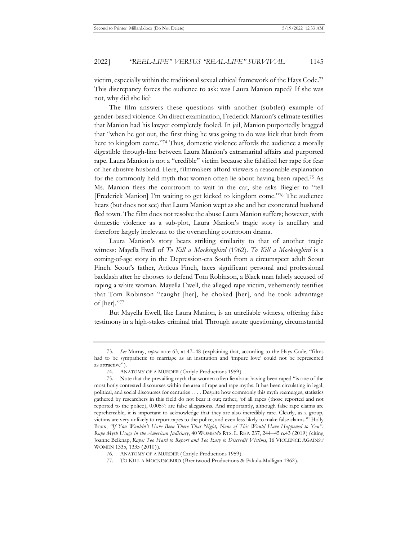victim, especially within the traditional sexual ethical framework of the Hays Code.73 This discrepancy forces the audience to ask: was Laura Manion raped? If she was not, why did she lie?

The film answers these questions with another (subtler) example of gender-based violence. On direct examination, Frederick Manion's cellmate testifies that Manion had his lawyer completely fooled. In jail, Manion purportedly bragged that "when he got out, the first thing he was going to do was kick that bitch from here to kingdom come."74 Thus, domestic violence affords the audience a morally digestible through-line between Laura Manion's extramarital affairs and purported rape. Laura Manion is not a "credible" victim because she falsified her rape for fear of her abusive husband. Here, filmmakers afford viewers a reasonable explanation for the commonly held myth that women often lie about having been raped.75 As Ms. Manion flees the courtroom to wait in the car, she asks Biegler to "tell [Frederick Manion] I'm waiting to get kicked to kingdom come."76 The audience hears (but does not see) that Laura Manion wept as she and her exonerated husband fled town. The film does not resolve the abuse Laura Manion suffers; however, with domestic violence as a sub-plot, Laura Manion's tragic story is ancillary and therefore largely irrelevant to the overarching courtroom drama.

Laura Manion's story bears striking similarity to that of another tragic witness: Mayella Ewell of *To Kill a Mockingbird* (1962). *To Kill a Mockingbird* is a coming-of-age story in the Depression-era South from a circumspect adult Scout Finch. Scout's father, Atticus Finch, faces significant personal and professional backlash after he chooses to defend Tom Robinson, a Black man falsely accused of raping a white woman. Mayella Ewell, the alleged rape victim, vehemently testifies that Tom Robinson "caught [her], he choked [her], and he took advantage of [her]."77

But Mayella Ewell, like Laura Manion, is an unreliable witness, offering false testimony in a high-stakes criminal trial. Through astute questioning, circumstantial

<sup>73.</sup> *See* Murray, *supra* note 63, at 47–48 (explaining that, according to the Hays Code, "films had to be sympathetic to marriage as an institution and 'impure love' could not be represented as attractive").

<sup>74.</sup> ANATOMY OF A MURDER (Carlyle Productions 1959).

<sup>75.</sup> Note that the prevailing myth that women often lie about having been raped "is one of the most hotly contested discourses within the area of rape and rape myths. It has been circulating in legal, political, and social discourses for centuries . . . . Despite how commonly this myth reemerges, statistics gathered by researchers in this field do not bear it out; rather, 'of all rapes (those reported and not reported to the police), 0.005% are false allegations. And importantly, although false rape claims are reprehensible, it is important to acknowledge that they are also incredibly rare. Clearly, as a group, victims are very unlikely to report rapes to the police, and even less likely to make false claims.'" Holly Boux, *"If You Wouldn't Have Been There That Night, None of This Would Have Happened to You": Rape Myth Usage in the American Judiciary*, 40 WOMEN'S RTS. L. REP. 237, 244–45 n.43 (2019) (citing Joanne Belknap, *Rape: Too Hard to Report and Too Easy to Discredit Victims*, 16 VIOLENCE AGAINST WOMEN 1335, 1335 (2010)).

<sup>76.</sup> ANATOMY OF A MURDER (Carlyle Productions 1959).

<sup>77.</sup> TO KILL A MOCKINGBIRD (Brentwood Productions & Pakula-Mulligan 1962).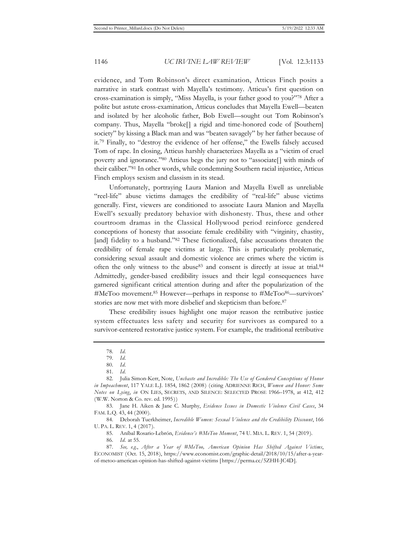evidence, and Tom Robinson's direct examination, Atticus Finch posits a narrative in stark contrast with Mayella's testimony. Atticus's first question on cross-examination is simply, "Miss Mayella, is your father good to you?"78 After a polite but astute cross-examination, Atticus concludes that Mayella Ewell—beaten and isolated by her alcoholic father, Bob Ewell—sought out Tom Robinson's company. Thus, Mayella "broke[] a rigid and time-honored code of [Southern] society" by kissing a Black man and was "beaten savagely" by her father because of it.79 Finally, to "destroy the evidence of her offense," the Ewells falsely accused Tom of rape. In closing, Atticus harshly characterizes Mayella as a "victim of cruel poverty and ignorance."80 Atticus begs the jury not to "associate[] with minds of their caliber."81 In other words, while condemning Southern racial injustice, Atticus Finch employs sexism and classism in its stead.

Unfortunately, portraying Laura Manion and Mayella Ewell as unreliable "reel-life" abuse victims damages the credibility of "real-life" abuse victims generally. First, viewers are conditioned to associate Laura Manion and Mayella Ewell's sexually predatory behavior with dishonesty. Thus, these and other courtroom dramas in the Classical Hollywood period reinforce gendered conceptions of honesty that associate female credibility with "virginity, chastity, [and] fidelity to a husband."<sup>82</sup> These fictionalized, false accusations threaten the credibility of female rape victims at large. This is particularly problematic, considering sexual assault and domestic violence are crimes where the victim is often the only witness to the abuse<sup>83</sup> and consent is directly at issue at trial.<sup>84</sup> Admittedly, gender-based credibility issues and their legal consequences have garnered significant critical attention during and after the popularization of the #MeToo movement.<sup>85</sup> However—perhaps in response to #MeToo<sup>86</sup>—survivors' stories are now met with more disbelief and skepticism than before.87

These credibility issues highlight one major reason the retributive justice system effectuates less safety and security for survivors as compared to a survivor-centered restorative justice system. For example, the traditional retributive

<sup>78.</sup> *Id.*

<sup>79.</sup> *Id.*

<sup>80.</sup> *Id.*

<sup>81.</sup> *Id.*

<sup>82.</sup> Julia Simon-Kerr, Note, *Unchaste and Incredible: The Use of Gendered Conceptions of Honor in Impeachment*, 117 YALE L.J. 1854, 1862 (2008) (citing ADRIENNE RICH, *Women and Honor: Some Notes on Lying*, *in* ON LIES, SECRETS, AND SILENCE: SELECTED PROSE 1966–1978, at 412, 412 (W.W. Norton & Co. rev. ed. 1995))

<sup>83.</sup> Jane H. Aiken & Jane C. Murphy, *Evidence Issues in Domestic Violence Civil Cases*, 34 FAM. L.Q. 43, 44 (2000).

<sup>84.</sup> Deborah Tuerkheimer, *Incredible Women: Sexual Violence and the Credibility Discount*, 166 U. PA. L. REV. 1, 4 (2017).

<sup>85.</sup> Aníbal Rosario-Lebrón, *Evidence's #MeToo Moment*, 74 U. MIA. L. REV. 1, 54 (2019).

<sup>86.</sup> *Id.* at 55.

<sup>87.</sup> *See, e.g.*, *After a Year of #MeToo, American Opinion Has Shifted Against Victims*, ECONOMIST (Oct. 15, 2018), https://www.economist.com/graphic-detail/2018/10/15/after-a-yearof-metoo-american-opinion-has-shifted-against-victims [https://perma.cc/5ZHH-JC4D].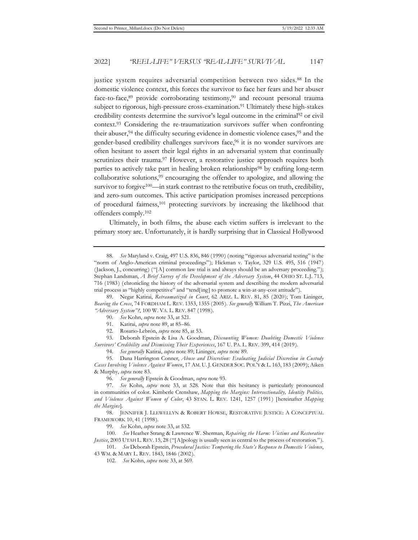justice system requires adversarial competition between two sides.<sup>88</sup> In the domestic violence context, this forces the survivor to face her fears and her abuser face-to-face,<sup>89</sup> provide corroborating testimony,<sup>90</sup> and recount personal trauma subject to rigorous, high-pressure cross-examination.<sup>91</sup> Ultimately these high-stakes credibility contests determine the survivor's legal outcome in the criminal92 or civil context.93 Considering the re-traumatization survivors suffer when confronting their abuser,94 the difficulty securing evidence in domestic violence cases,95 and the gender-based credibility challenges survivors face,96 it is no wonder survivors are often hesitant to assert their legal rights in an adversarial system that continually scrutinizes their trauma.<sup>97</sup> However, a restorative justice approach requires both parties to actively take part in healing broken relationships<sup>98</sup> by crafting long-term collaborative solutions,<sup>99</sup> encouraging the offender to apologize, and allowing the survivor to forgive<sup>100</sup>—in stark contrast to the retributive focus on truth, credibility, and zero-sum outcomes. This active participation promises increased perceptions of procedural fairness,101 protecting survivors by increasing the likelihood that offenders comply.102

Ultimately, in both films, the abuse each victim suffers is irrelevant to the primary story arc. Unfortunately, it is hardly surprising that in Classical Hollywood

89. Negar Katirai, *Retraumatized in Court*, 62 ARIZ. L. REV. 81, 85 (2020); Tom Lininger, *Bearing the Cross*, 74 FORDHAM L. REV. 1353, 1355 (2005). *See generally* William T. Pizzi, *The American "Adversary System"?*, 100 W. VA. L. REV. 847 (1998).

- 90. *See* Kohn, *supra* note 33, at 521.
- 91. Katirai, *supra* note 89, at 85–86.
- 92. Rosario-Lebrón, *supra* note 85, at 53.

93. Deborah Epstein & Lisa A. Goodman, *Discounting Women: Doubting Domestic Violence Survivors' Credibility and Dismissing Their Experiences*, 167 U. PA. L. REV. 399, 414 (2019).

94. *See generally* Katirai, *supra* note 89; Lininger, *supra* note 89.

95. Dana Harrington Conner, *Abuse and Discretion: Evaluating Judicial Discretion in Custody Cases Involving Violence Against Women*, 17 AM. U. J. GENDER SOC. POL'Y & L. 163, 183 (2009); Aiken & Murphy, *supra* note 83.

96. *See generally* Epstein & Goodman, *supra* note 93.

97. *See* Kohn, *supra* note 33, at 528. Note that this hesitancy is particularly pronounced in communities of color. Kimberle Crenshaw, *Mapping the Margins: Intersectionality, Identity Politics, and Violence Against Women of Color*, 43 STAN. L. REV. 1241, 1257 (1991) [hereinafter *Mapping the Margins*].

98. JENNIFER J. LLEWELLYN & ROBERT HOWSE, RESTORATIVE JUSTICE: A CONCEPTUAL FRAMEWORK 10, 41 (1998).

99. *See* Kohn, *supra* note 33, at 532.

100. *See* Heather Strang & Lawrence W. Sherman, *Repairing the Harm: Victims and Restorative Justice*, 2003 UTAH L. REV. 15, 28 ("[A]pology is usually seen as central to the process of restoration.").

101. *See* Deborah Epstein, *Procedural Justice: Tempering the State's Response to Domestic Violence*, 43 WM. & MARY L. REV. 1843, 1846 (2002).

102. *See* Kohn, *supra* note 33, at 569.

<sup>88.</sup> *See* Maryland v. Craig, 497 U.S. 836, 846 (1990) (noting "rigorous adversarial testing" is the "norm of Anglo-American criminal proceedings"); Hickman v. Taylor, 329 U.S. 495, 516 (1947) (Jackson, J., concurring) ("[A] common law trial is and always should be an adversary proceeding."); Stephan Landsman, *A Brief Survey of the Development of the Adversary System*, 44 OHIO ST. L.J. 713, 716 (1983) (chronicling the history of the adversarial system and describing the modern adversarial trial process as "highly competitive" and "tend[ing] to promote a win-at-any-cost attitude").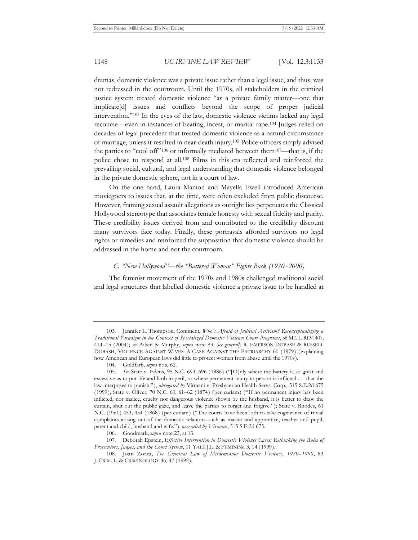dramas, domestic violence was a private issue rather than a legal issue, and thus, was not redressed in the courtroom. Until the 1970s, all stakeholders in the criminal justice system treated domestic violence "as a private family matter—one that implicate[d] issues and conflicts beyond the scope of proper judicial intervention."103 In the eyes of the law, domestic violence victims lacked any legal recourse—even in instances of beating, incest, or marital rape.104 Judges relied on decades of legal precedent that treated domestic violence as a natural circumstance of marriage, unless it resulted in near-death injury.105 Police officers simply advised the parties to "cool off"106 or informally mediated between them107—that is, if the police chose to respond at all.108 Films in this era reflected and reinforced the prevailing social, cultural, and legal understanding that domestic violence belonged in the private domestic sphere, not in a court of law.

On the one hand, Laura Manion and Mayella Ewell introduced American moviegoers to issues that, at the time, were often excluded from public discourse. However, framing sexual assault allegations as outright lies perpetuates the Classical Hollywood stereotype that associates female honesty with sexual fidelity and purity. These credibility issues derived from and contributed to the credibility discount many survivors face today. Finally, these portrayals afforded survivors no legal rights or remedies and reinforced the supposition that domestic violence should be addressed in the home and not the courtroom.

#### *C. "New Hollywood"—the "Battered Woman" Fights Back (1970–2000)*

The feminist movement of the 1970s and 1980s challenged traditional social and legal structures that labelled domestic violence a private issue to be handled at

<sup>103.</sup> Jennifer L. Thompson, Comment, *Who's Afraid of Judicial Activism? Reconceptualizing a Traditional Paradigm in the Context of Specialized Domestic Violence Court Programs*, 56 ME.L.REV. 407, 414–15 (2004); *see* Aiken & Murphy, *supra* note 83. *See generally* R. EMERSON DOBASH & RUSSELL DOBASH, VIOLENCE AGAINST WIVES: A CASE AGAINST THE PATRIARCHY 60 (1979) (explaining how American and European laws did little to protect women from abuse until the 1970s).

<sup>104.</sup> Goldfarb, *supra* note 62.

<sup>105.</sup> *See* State v. Edens, 95 N.C. 693, 696 (1886) ("[O]nly where the battery is so great and excessive as to put life and limb in peril, or where permanent injury to person is inflicted . . . that the law interposes to punish."), *abrogated by* Virmani v. Presbyterian Health Servs. Corp., 515 S.E.2d 675 (1999); State v. Oliver, 70 N.C. 60, 61–62 (1874) (per curiam) ("If no permanent injury has been inflicted, nor malice, cruelty nor dangerous violence shown by the husband, it is better to draw the curtain, shut out the public gaze, and leave the parties to forget and forgive."); State v. Rhodes, 61 N.C. (Phil.) 453, 454 (1868) (per curiam) ("The courts have been loth to take cognizance of trivial complaints arising out of the domestic relations–such as master and apprentice, teacher and pupil, parent and child, husband and wife."), *overruled by Virmani*, 515 S.E.2d 675.

<sup>106.</sup> Goodmark, *supra* note 23, at 13.

<sup>107.</sup> Deborah Epstein, *Effective Intervention in Domestic Violence Cases: Rethinking the Roles of Prosecutors, Judges, and the Court System*, 11 YALE J.L. & FEMINISM 3, 14 (1999).

<sup>108.</sup> Joan Zorza, *The Criminal Law of Misdemeanor Domestic Violence, 1970–1990*, 83 J. CRIM. L. & CRIMINOLOGY 46, 47 (1992).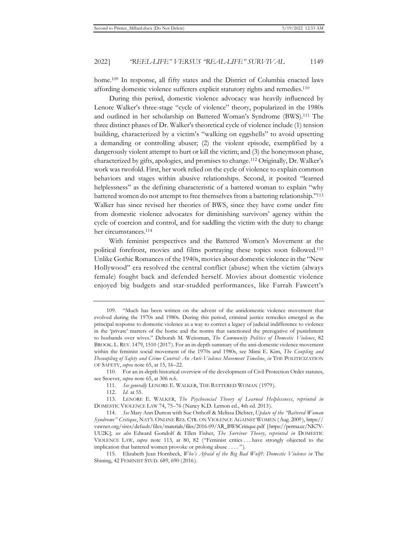home.109 In response, all fifty states and the District of Columbia enacted laws affording domestic violence sufferers explicit statutory rights and remedies.110

During this period, domestic violence advocacy was heavily influenced by Lenore Walker's three-stage "cycle of violence" theory, popularized in the 1980s and outlined in her scholarship on Battered Woman's Syndrome (BWS).111 The three distinct phases of Dr. Walker's theoretical cycle of violence include (1) tension building, characterized by a victim's "walking on eggshells" to avoid upsetting a demanding or controlling abuser; (2) the violent episode, exemplified by a dangerously violent attempt to hurt or kill the victim; and (3) the honeymoon phase, characterized by gifts, apologies, and promises to change.112 Originally, Dr. Walker's work was twofold. First, her work relied on the cycle of violence to explain common behaviors and stages within abusive relationships. Second, it posited "learned helplessness" as the defining characteristic of a battered woman to explain "why battered women do not attempt to free themselves from a battering relationship."113 Walker has since revised her theories of BWS, since they have come under fire from domestic violence advocates for diminishing survivors' agency within the cycle of coercion and control, and for saddling the victim with the duty to change her circumstances.<sup>114</sup>

With feminist perspectives and the Battered Women's Movement at the political forefront, movies and films portraying these topics soon followed.115 Unlike Gothic Romances of the 1940s, movies about domestic violence in the "New Hollywood" era resolved the central conflict (abuse) when the victim (always female) fought back and defended herself. Movies about domestic violence enjoyed big budgets and star-studded performances, like Farrah Fawcett's

<sup>109. &</sup>quot;Much has been written on the advent of the antidomestic violence movement that evolved during the 1970s and 1980s. During this period, criminal justice remedies emerged as the principal response to domestic violence as a way to correct a legacy of judicial indifference to violence in the 'private' matters of the home and the norms that sanctioned the prerogative of punishment to husbands over wives." Deborah M. Weissman, *The Community Politics of Domestic Violence*, 82 BROOK. L. REV. 1479, 1510 (2017). For an in-depth summary of the anti-domestic violence movement within the feminist social movement of the 1970s and 1980s, see Mimi E. Kim, *The Coupling and Decoupling of Safety and Crime Control: An Anti-Violence Movement Timeline*, *in* THE POLITICIZATION OF SAFETY, *supra* note 65, at 15, 16–22.

<sup>110.</sup> For an in-depth historical overview of the development of Civil Protection Order statutes, see Stoever, *supra* note 65, at 306 n.6.

<sup>111.</sup> *See generally* LENORE E. WALKER, THE BATTERED WOMAN (1979).

<sup>112.</sup> *Id.* at 55.

<sup>113.</sup> LENORE E. WALKER, *The Psychosocial Theory of Learned Helplessness*, *reprinted in* DOMESTIC VIOLENCE LAW 74, 75–76 (Nancy K.D. Lemon ed., 4th ed. 2013).

<sup>114.</sup> *See* Mary Ann Dutton with Sue Osthoff & Melissa Dichter, *Update of the "Battered Woman Syndrome" Critique*, NAT'L ONLINE RES. CTR. ON VIOLENCE AGAINST WOMEN (Aug. 2009), https:// vawnet.org/sites/default/files/materials/files/2016-09/AR\_BWSCritique.pdf [https://perma.cc/NK7V-UU2K]; *see also* Edward Gondolf & Ellen Fisher, *The Survivor Theory*, *reprinted in* DOMESTIC VIOLENCE LAW, *supra* note 113, at 80, 82 ("Feminist critics . . . have strongly objected to the implication that battered women provoke or prolong abuse . . . . ").

<sup>115.</sup> Elizabeth Jean Hornbeck, *Who's Afraid of the Big Bad Wolf?: Domestic Violence in* The Shining, 42 FEMINIST STUD. 689, 690 (2016).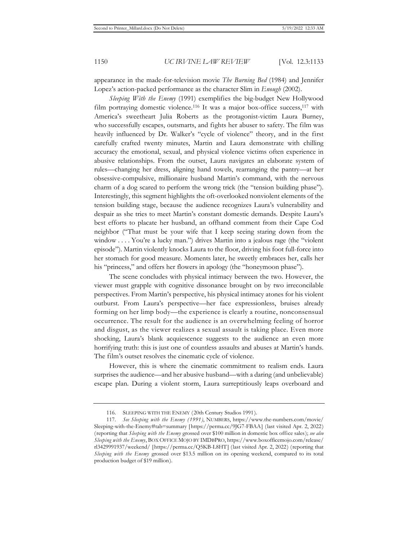appearance in the made-for-television movie *The Burning Bed* (1984) and Jennifer Lopez's action-packed performance as the character Slim in *Enough* (2002).

*Sleeping With the Enemy* (1991) exemplifies the big-budget New Hollywood film portraying domestic violence.<sup>116</sup> It was a major box-office success,<sup>117</sup> with America's sweetheart Julia Roberts as the protagonist-victim Laura Burney, who successfully escapes, outsmarts, and fights her abuser to safety. The film was heavily influenced by Dr. Walker's "cycle of violence" theory, and in the first carefully crafted twenty minutes, Martin and Laura demonstrate with chilling accuracy the emotional, sexual, and physical violence victims often experience in abusive relationships. From the outset, Laura navigates an elaborate system of rules—changing her dress, aligning hand towels, rearranging the pantry—at her obsessive-compulsive, millionaire husband Martin's command, with the nervous charm of a dog scared to perform the wrong trick (the "tension building phase"). Interestingly, this segment highlights the oft-overlooked nonviolent elements of the tension building stage, because the audience recognizes Laura's vulnerability and despair as she tries to meet Martin's constant domestic demands. Despite Laura's best efforts to placate her husband, an offhand comment from their Cape Cod neighbor ("That must be your wife that I keep seeing staring down from the window . . . . You're a lucky man.") drives Martin into a jealous rage (the "violent" episode"). Martin violently knocks Laura to the floor, driving his foot full-force into her stomach for good measure. Moments later, he sweetly embraces her, calls her his "princess," and offers her flowers in apology (the "honeymoon phase").

The scene concludes with physical intimacy between the two. However, the viewer must grapple with cognitive dissonance brought on by two irreconcilable perspectives. From Martin's perspective, his physical intimacy atones for his violent outburst. From Laura's perspective—her face expressionless, bruises already forming on her limp body—the experience is clearly a routine, nonconsensual occurrence. The result for the audience is an overwhelming feeling of horror and disgust, as the viewer realizes a sexual assault is taking place. Even more shocking, Laura's blank acquiescence suggests to the audience an even more horrifying truth: this is just one of countless assaults and abuses at Martin's hands. The film's outset resolves the cinematic cycle of violence.

However, this is where the cinematic commitment to realism ends. Laura surprises the audience—and her abusive husband—with a daring (and unbelievable) escape plan. During a violent storm, Laura surreptitiously leaps overboard and

<sup>116.</sup> SLEEPING WITH THE ENEMY (20th Century Studios 1991).

<sup>117.</sup> *See Sleeping with the Enemy (1991)*, NUMBERS, https://www.the-numbers.com/movie/ Sleeping-with-the-Enemy#tab=summary [https://perma.cc/9JG7-FBAA] (last visited Apr. 2, 2022) (reporting that *Sleeping with the Enemy* grossed over \$100 million in domestic box office sales); *see also Sleeping with the Enemy*, BOX OFFICE MOJO BY IMDBPRO, https://www.boxofficemojo.com/release/ rl3429991937/weekend/ [https://perma.cc/Q5KB-L8HT] (last visited Apr. 2, 2022) (reporting that *Sleeping with the Enemy* grossed over \$13.5 million on its opening weekend, compared to its total production budget of \$19 million).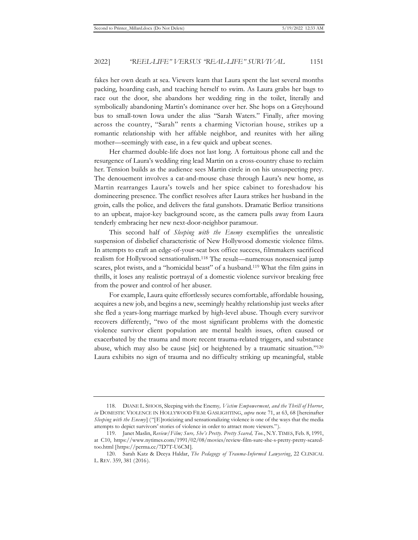fakes her own death at sea. Viewers learn that Laura spent the last several months packing, hoarding cash, and teaching herself to swim. As Laura grabs her bags to race out the door, she abandons her wedding ring in the toilet, literally and symbolically abandoning Martin's dominance over her. She hops on a Greyhound bus to small-town Iowa under the alias "Sarah Waters." Finally, after moving across the country, "Sarah" rents a charming Victorian house, strikes up a romantic relationship with her affable neighbor, and reunites with her ailing mother—seemingly with ease, in a few quick and upbeat scenes.

Her charmed double-life does not last long. A fortuitous phone call and the resurgence of Laura's wedding ring lead Martin on a cross-country chase to reclaim her. Tension builds as the audience sees Martin circle in on his unsuspecting prey. The denouement involves a cat-and-mouse chase through Laura's new home, as Martin rearranges Laura's towels and her spice cabinet to foreshadow his domineering presence. The conflict resolves after Laura strikes her husband in the groin, calls the police, and delivers the fatal gunshots. Dramatic Berlioz transitions to an upbeat, major-key background score, as the camera pulls away from Laura tenderly embracing her new next-door-neighbor paramour.

This second half of *Sleeping with the Enemy* exemplifies the unrealistic suspension of disbelief characteristic of New Hollywood domestic violence films. In attempts to craft an edge-of-your-seat box office success, filmmakers sacrificed realism for Hollywood sensationalism.118 The result—numerous nonsensical jump scares, plot twists, and a "homicidal beast" of a husband.119 What the film gains in thrills, it loses any realistic portrayal of a domestic violence survivor breaking free from the power and control of her abuser.

For example, Laura quite effortlessly secures comfortable, affordable housing, acquires a new job, and begins a new, seemingly healthy relationship just weeks after she fled a years-long marriage marked by high-level abuse. Though every survivor recovers differently, "two of the most significant problems with the domestic violence survivor client population are mental health issues, often caused or exacerbated by the trauma and more recent trauma-related triggers, and substance abuse, which may also be cause [sic] or heightened by a traumatic situation."120 Laura exhibits no sign of trauma and no difficulty striking up meaningful, stable

<sup>118.</sup> DIANE L. SHOOS, Sleeping with the Enemy*, Victim Empowerment, and the Thrill of Horror*, *in* DOMESTIC VIOLENCE IN HOLLYWOOD FILM: GASLIGHTING, *supra* note 71, at 63, 68 [hereinafter *Sleeping with the Enemy*] ("[E]roticizing and sensationalizing violence is one of the ways that the media attempts to depict survivors' stories of violence in order to attract more viewers.").

<sup>119.</sup> Janet Maslin, *Review/Film; Sure, She's Pretty. Pretty Scared, Too.*, N.Y. TIMES, Feb. 8, 1991, at C10, https://www.nytimes.com/1991/02/08/movies/review-film-sure-she-s-pretty-pretty-scaredtoo.html [https://perma.cc/7D7T-U6CM].

<sup>120.</sup> Sarah Katz & Deeya Haldar, *The Pedagogy of Trauma-Informed Lawyering*, 22 CLINICAL L. REV. 359, 381 (2016).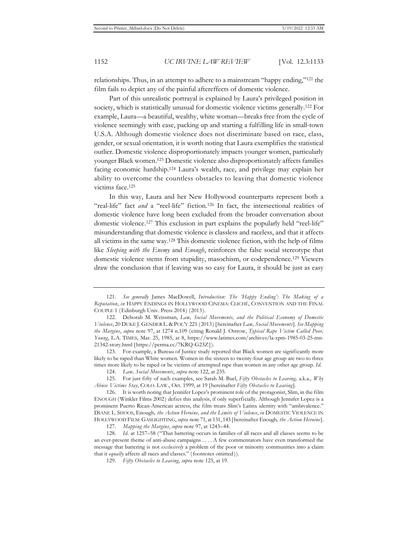relationships. Thus, in an attempt to adhere to a mainstream "happy ending,"121 the film fails to depict any of the painful aftereffects of domestic violence.

Part of this unrealistic portrayal is explained by Laura's privileged position in society, which is statistically unusual for domestic violence victims generally.122 For example, Laura—a beautiful, wealthy, white woman—breaks free from the cycle of violence seemingly with ease, packing up and starting a fulfilling life in small-town U.S.A. Although domestic violence does not discriminate based on race, class, gender, or sexual orientation, it is worth noting that Laura exemplifies the statistical outlier. Domestic violence disproportionately impacts younger women, particularly younger Black women.123 Domestic violence also disproportionately affects families facing economic hardship.124 Laura's wealth, race, and privilege may explain her ability to overcome the countless obstacles to leaving that domestic violence victims face.125

In this way, Laura and her New Hollywood counterparts represent both a "real-life" fact *and* a "reel-life" fiction.<sup>126</sup> In fact, the intersectional realities of domestic violence have long been excluded from the broader conversation about domestic violence.127 This exclusion in part explains the popularly held "reel-life" misunderstanding that domestic violence is classless and raceless, and that it affects all victims in the same way.128 This domestic violence fiction, with the help of films like *Sleeping with the Enemy* and *Enough*, reinforces the false social stereotype that domestic violence stems from stupidity, masochism, or codependence.129 Viewers draw the conclusion that if leaving was so easy for Laura, it should be just as easy

123. For example, a Bureau of Justice study reported that Black women are significantly more likely to be raped than White women. Women in the sixteen to twenty-four age group are two to three times more likely to be raped or be victims of attempted rape than women in any other age group. *Id.*

125. For just fifty of such examples, see Sarah M. Buel, *Fifty Obstacles to Leaving,* a.k.a.*, Why Abuse Victims Stay*, COLO. LAW., Oct. 1999, at 19 [hereinafter *Fifty Obstacles to Leaving*].

127. *Mapping the Margins*, *supra* note 97, at 1243–44.

<sup>121.</sup> *See generally* James MacDowell, *Introduction: The 'Happy Ending': The Making of a Reputation*, *in* HAPPY ENDINGS IN HOLLYWOOD CINEMA: CLICHÉ, CONVENTION AND THE FINAL COUPLE 1 (Edinburgh Univ. Press 2014) (2013).

<sup>122.</sup> Deborah M. Weissman, *Law, Social Movements, and the Political Economy of Domestic Violence*, 20 DUKE J. GENDER L. & POL'Y 221 (2013) [hereinafter *Law, Social Movements*]. *See Mapping the Margins*, *supra* note 97, at 1274 n.109 (citing Ronald J. Ostrow, *Typical Rape Victim Called Poor, Young*, L.A. TIMES, Mar. 25, 1985, at 8, https://www.latimes.com/archives/la-xpm-1985-03-25-mn-21342-story.html [https://perma.cc/7KRQ-G23Z]).

<sup>124.</sup> *Law, Social Movements*, *supra* note 122, at 235.

<sup>126.</sup> It is worth noting that Jennifer Lopez's prominent role of the protagonist, Slim, in the film ENOUGH (Winkler Films 2002) defies this analysis, if only superficially. Although Jennifer Lopez is a prominent Puerto Rican-American actress, the film treats Slim's Latinx identity with "ambivalence." DIANE L. SHOOS, Enough*, the Action Heroine, and the Limits of Violence*, *in* DOMESTIC VIOLENCE IN HOLLYWOOD FILM: GASLIGHTING, *supra* note 71, at 131, 143 [hereinafter Enough*, the Action Heroine*].

<sup>128.</sup> *Id.* at 1257–58 ("That battering occurs in families of all races and all classes seems to be an ever-present theme of anti-abuse campaigns . . . . A few commentators have even transformed the message that battering is not *exclusively* a problem of the poor or minority communities into a claim that it *equally* affects all races and classes." (footnotes omitted)).

<sup>129.</sup> *Fifty Obstacles to Leaving*, *supra* note 125, at 19.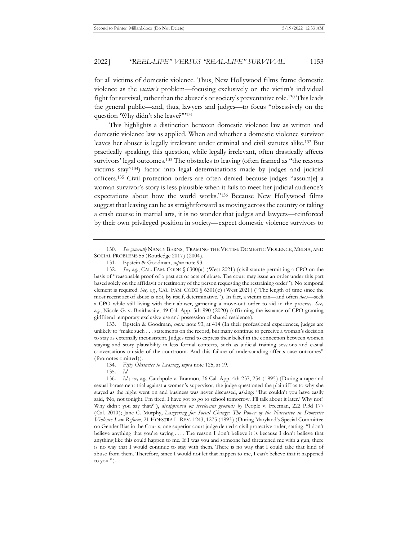for all victims of domestic violence. Thus, New Hollywood films frame domestic violence as the *victim's* problem—focusing exclusively on the victim's individual fight for survival, rather than the abuser's or society's preventative role.130 This leads the general public—and, thus, lawyers and judges—to focus "obsessively on the question 'Why didn't she leave?"'131

This highlights a distinction between domestic violence law as written and domestic violence law as applied. When and whether a domestic violence survivor leaves her abuser is legally irrelevant under criminal and civil statutes alike.132 But practically speaking, this question, while legally irrelevant, often drastically affects survivors' legal outcomes.<sup>133</sup> The obstacles to leaving (often framed as "the reasons victims stay"134) factor into legal determinations made by judges and judicial officers.135 Civil protection orders are often denied because judges "assum[e] a woman survivor's story is less plausible when it fails to meet her judicial audience's expectations about how the world works."136 Because New Hollywood films suggest that leaving can be as straightforward as moving across the country or taking a crash course in martial arts, it is no wonder that judges and lawyers—reinforced by their own privileged position in society—expect domestic violence survivors to

133. Epstein & Goodman, *supra* note 93, at 414 (In their professional experiences, judges are unlikely to "make such . . . statements on the record, but many continue to perceive a woman's decision to stay as externally inconsistent. Judges tend to express their belief in the connection between women staying and story plausibility in less formal contexts, such as judicial training sessions and casual conversations outside of the courtroom. And this failure of understanding affects case outcomes" (footnotes omitted)).

134. *Fifty Obstacles to Leaving*, *supra* note 125, at 19.

135. *Id.*

<sup>130.</sup> *See generally* NANCY BERNS, *'*FRAMING THE VICTIM: DOMESTIC VIOLENCE, MEDIA, AND SOCIAL PROBLEMS 55 (Routledge 2017) (2004).

<sup>131.</sup> Epstein & Goodman, *supra* note 93.

<sup>132.</sup> *See, e.g.*, CAL. FAM. CODE § 6300(a) (West 2021) (civil statute permitting a CPO on the basis of "reasonable proof of a past act or acts of abuse. The court may issue an order under this part based solely on the affidavit or testimony of the person requesting the restraining order"). No temporal element is required. *See, e.g.*, CAL. FAM. CODE § 6301(c) (West 2021) ("The length of time since the most recent act of abuse is not, by itself, determinative."). In fact, a victim can—and often *does*—seek a CPO while still living with their abuser, garnering a move-out order to aid in the process. *See, e.g.*, Nicole G. v. Braithwaite, 49 Cal. App. 5th 990 (2020) (affirming the issuance of CPO granting girlfriend temporary exclusive use and possession of shared residence).

<sup>136.</sup> *Id.*; *see, e.g.*, Catchpole v. Brannon, 36 Cal. App. 4th 237, 254 (1995) (During a rape and sexual harassment trial against a woman's supervisor, the judge questioned the plaintiff as to why she stayed as the night went on and business was never discussed, asking: "But couldn't you have easily said, 'No, not tonight. I'm tired. I have got to go to school tomorrow. I'll talk about it later.' Why not? Why didn't you say that?"), *disapproved on irrelevant grounds by* People v. Freeman, 222 P.3d 177 (Cal. 2010); Jane C. Murphy, *Lawyering for Social Change: The Power of the Narrative in Domestic Violence Law Reform*, 21 HOFSTRA L. REV. 1243, 1275 (1993) (During Maryland's Special Committee on Gender Bias in the Courts, one superior court judge denied a civil protective order, stating, "I don't believe anything that you're saying . . . . The reason I don't believe it is because I don't believe that anything like this could happen to me. If I was you and someone had threatened me with a gun, there is no way that I would continue to stay with them. There is no way that I could take that kind of abuse from them. Therefore, since I would not let that happen to me, I can't believe that it happened to you.").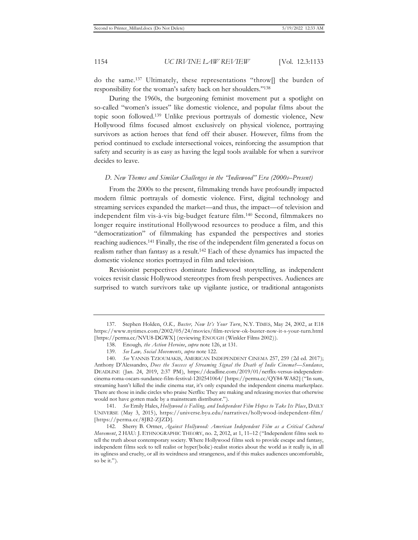do the same.137 Ultimately, these representations "throw[] the burden of responsibility for the woman's safety back on her shoulders."138

During the 1960s, the burgeoning feminist movement put a spotlight on so-called "women's issues" like domestic violence, and popular films about the topic soon followed.139 Unlike previous portrayals of domestic violence, New Hollywood films focused almost exclusively on physical violence, portraying survivors as action heroes that fend off their abuser. However, films from the period continued to exclude intersectional voices, reinforcing the assumption that safety and security is as easy as having the legal tools available for when a survivor decides to leave.

#### *D. New Themes and Similar Challenges in the "Indiewood" Era (2000s–Present)*

From the 2000s to the present, filmmaking trends have profoundly impacted modern filmic portrayals of domestic violence. First, digital technology and streaming services expanded the market—and thus, the impact—of television and independent film vis-à-vis big-budget feature film.140 Second, filmmakers no longer require institutional Hollywood resources to produce a film, and this "democratization" of filmmaking has expanded the perspectives and stories reaching audiences.141 Finally, the rise of the independent film generated a focus on realism rather than fantasy as a result.142 Each of these dynamics has impacted the domestic violence stories portrayed in film and television.

Revisionist perspectives dominate Indiewood storytelling, as independent voices revisit classic Hollywood stereotypes from fresh perspectives. Audiences are surprised to watch survivors take up vigilante justice, or traditional antagonists

141. *See* Emily Hales, *Hollywood is Falling, and Independent Film Hopes to Take Its Place*, DAILY UNIVERSE (May 3, 2015), https://universe.byu.edu/narratives/hollywood-independent-film/ [https://perma.cc/8JB2-ZJZD].

<sup>137.</sup> Stephen Holden, *O.K., Buster, Now It's Your Turn*, N.Y. TIMES, May 24, 2002, at E18 https://www.nytimes.com/2002/05/24/movies/film-review-ok-buster-now-it-s-your-turn.html [https://perma.cc/NVU8-DGWX] (reviewing ENOUGH (Winkler Films 2002)).

<sup>138.</sup> Enough*, the Action Heroine*, *supra* note 126, at 131.

<sup>139.</sup> *See Law, Social Movements*, *supra* note 122.

<sup>140.</sup> *See* YANNIS TZIOUMAKIS, AMERICAN INDEPENDENT CINEMA 257, 259 (2d ed. 2017); Anthony D'Alessandro, *Does the Success of Streaming Signal the Death of Indie Cinema?*—*Sundance*, DEADLINE (Jan. 24, 2019, 2:37 PM), https://deadline.com/2019/01/netflix-versus-independentcinema-roma-oscars-sundance-film-festival-1202541064/ [https://perma.cc/QY84-WA82] ("In sum, streaming hasn't killed the indie cinema star, it's only expanded the independent cinema marketplace. There are those in indie circles who praise Netflix: They are making and releasing movies that otherwise would not have gotten made by a mainstream distributor.").

<sup>142.</sup> Sherry B. Ortner, *Against Hollywood: American Independent Film as a Critical Cultural Movement*, 2 HAU: J. ETHNOGRAPHIC THEORY, no. 2, 2012, at 1, 11–12 ("Independent films seek to tell the truth about contemporary society. Where Hollywood films seek to provide escape and fantasy, independent films seek to tell realist or hyper(bolic)-realist stories about the world as it really is, in all its ugliness and cruelty, or all its weirdness and strangeness, and if this makes audiences uncomfortable, so be it.").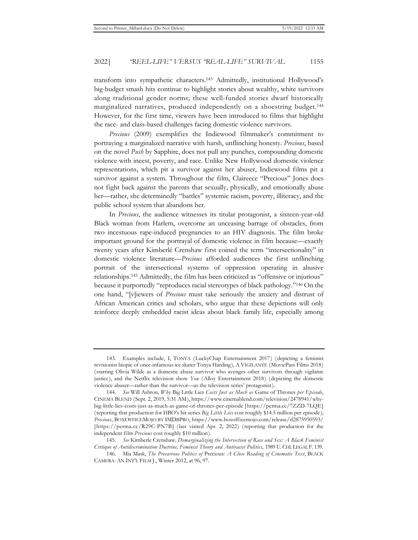transform into sympathetic characters.143 Admittedly, institutional Hollywood's big-budget smash hits continue to highlight stories about wealthy, white survivors along traditional gender norms; these well-funded stories dwarf historically marginalized narratives, produced independently on a shoestring budget.144 However, for the first time, viewers have been introduced to films that highlight the race- and class-based challenges facing domestic violence survivors.

*Precious* (2009) exemplifies the Indiewood filmmaker's commitment to portraying a marginalized narrative with harsh, unflinching honesty. *Precious*, based on the novel *Push* by Sapphire, does not pull any punches, compounding domestic violence with incest, poverty, and race. Unlike New Hollywood domestic violence representations, which pit a survivor against her abuser, Indiewood films pit a survivor against a system. Throughout the film, Claireece "Precious" Jones does not fight back against the parents that sexually, physically, and emotionally abuse her—rather, she determinedly "battles" systemic racism, poverty, illiteracy, and the public school system that abandons her.

In *Precious*, the audience witnesses its titular protagonist, a sixteen-year-old Black woman from Harlem, overcome an unceasing barrage of obstacles, from two incestuous rape-induced pregnancies to an HIV diagnosis. The film broke important ground for the portrayal of domestic violence in film because—exactly twenty years after Kimberlé Crenshaw first coined the term "intersectionality" in domestic violence literature—*Precious* afforded audiences the first unflinching portrait of the intersectional systems of oppression operating in abusive relationships.145 Admittedly, the film has been criticized as "offensive or injurious" because it purportedly "reproduces racial stereotypes of black pathology."146 On the one hand, "[v]iewers of *Precious* must take seriously the anxiety and distrust of African American critics and scholars, who argue that these depictions will only reinforce deeply embedded racist ideas about black family life, especially among

<sup>143.</sup> Examples include, I, TONYA (LuckyChap Entertainment 2017) (depicting a feminist revisionist biopic of once-infamous ice skater Tonya Harding), A VIGILANTE (MoviePass Films 2018) (starring Olivia Wilde as a domestic abuse survivor who avenges other survivors through vigilante justice), and the Netflix television show *You* (Alloy Entertainment 2018) (depicting the domestic violence abuser—rather than the survivor—as the television series' protagonist).

<sup>144.</sup> *See* Will Ashton, *Why* Big Little Lies *Costs Just as Much as* Game of Thrones *per Episode*, CINEMA BLEND (Sept. 2, 2019, 5:31 AM), https://www.cinemablend.com/television/2478941/whybig-little-lies-costs-just-as-much-as-game-of-thrones-per-episode [https://perma.cc/7ZZD-7LQE] (reporting that production for HBO's hit series *Big Little Lies* cost roughly \$14.5 million per episode); *Precious*, BOXOFFICEMOJO BY IMDBPRO, https://www.boxofficemojo.com/release/rl2875950593/ [https://perma.cc/R29C-PN7B] (last visited Apr. 2, 2022) (reporting that production for the independent film *Precious* cost roughly \$10 million).

<sup>145.</sup> *See* Kimberle Crenshaw, *Demarginalizing the Intersection of Race and Sex: A Black Feminist Critique of Antidiscrimination Doctrine, Feminist Theory and Antiracist Politics*, 1989 U.CHI.LEGAL F. 139.

<sup>146.</sup> Mia Mask, *The Precarious Politics of* Precious*: A Close Reading of Cinematic Text*, BLACK CAMERA: AN INT'L FILM J., Winter 2012, at 96, 97.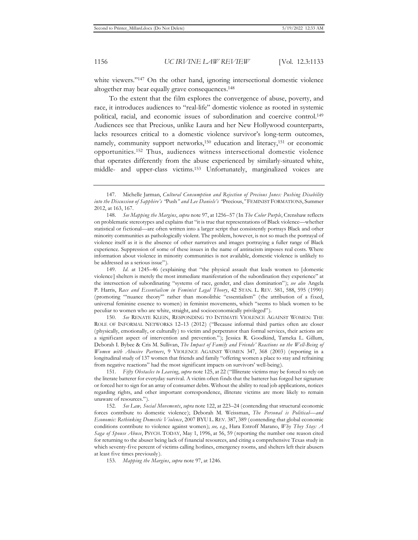white viewers."<sup>147</sup> On the other hand, ignoring intersectional domestic violence altogether may bear equally grave consequences.148

To the extent that the film explores the convergence of abuse, poverty, and race, it introduces audiences to "real-life" domestic violence as rooted in systemic political, racial, and economic issues of subordination and coercive control.<sup>149</sup> Audiences see that Precious, unlike Laura and her New Hollywood counterparts, lacks resources critical to a domestic violence survivor's long-term outcomes, namely, community support networks,<sup>150</sup> education and literacy,<sup>151</sup> or economic opportunities.152 Thus, audiences witness intersectional domestic violence that operates differently from the abuse experienced by similarly-situated white, middle- and upper-class victims.153 Unfortunately, marginalized voices are

148. *See Mapping the Margins*, *supra* note 97, at 1256–57 (In *The Color Purple*, Crenshaw reflects on problematic stereotypes and explains that "it is true that representations of Black violence—whether statistical or fictional—are often written into a larger script that consistently portrays Black and other minority communities as pathologically violent. The problem, however, is not so much the portrayal of violence itself as it is the absence of other narratives and images portraying a fuller range of Black experience. Suppression of some of these issues in the name of antiracism imposes real costs. Where information about violence in minority communities is not available, domestic violence is unlikely to be addressed as a serious issue").

149. *Id.* at 1245–46 (explaining that "the physical assault that leads women to [domestic violence] shelters is merely the most immediate manifestation of the subordination they experience" at the intersection of subordinating "systems of race, gender, and class domination"); *see also* Angela P. Harris, *Race and Essentialism in Feminist Legal Theory*, 42 STAN. L. REV. 581, 588, 595 (1990) (promoting "'nuance theory'" rather than monolithic "essentialism" (the attribution of a fixed, universal feminine essence to women) in feminist movements, which "seems to black women to be peculiar to women who are white, straight, and socioeconomically privileged").

150. *See* RENATE KLEIN, RESPONDING TO INTIMATE VIOLENCE AGAINST WOMEN: THE ROLE OF INFORMAL NETWORKS 12–13 (2012) ("Because informal third parties often are closer (physically, emotionally, or culturally) to victim and perpetrator than formal services, their actions are a significant aspect of intervention and prevention."); Jessica R. Goodkind, Tameka L. Gillum, Deborah I. Bybee & Cris M. Sullivan, *The Impact of Family and Friends' Reactions on the Well-Being of Women with Abusive Partners*, 9 VIOLENCE AGAINST WOMEN 347, 368 (2003) (reporting in a longitudinal study of 137 women that friends and family "offering women a place to stay and refraining from negative reactions" had the most significant impacts on survivors' well-being).

151. *Fifty Obstacles to Leaving*, *supra* note 125, at 22 ("Illiterate victims may be forced to rely on the literate batterer for everyday survival. A victim often finds that the batterer has forged her signature or forced her to sign for an array of consumer debts. Without the ability to read job applications, notices regarding rights, and other important correspondence, illiterate victims are more likely to remain unaware of resources.").

152. *See Law, Social Movements*, *supra* note 122, at 223–24 (contending that structural economic forces contribute to domestic violence); Deborah M. Weissman, *The Personal is Political—and Economic: Rethinking Domestic Violence*, 2007 BYU L. REV. 387, 389 (contending that global economic conditions contribute to violence against women); *see, e.g.*, Hara Estroff Marano, *Why They Stay: A Saga of Spouse Abuse*, PSYCH. TODAY, May 1, 1996, at 56, 59 (reporting the number one reason cited for returning to the abuser being lack of financial resources, and citing a comprehensive Texas study in which seventy-five percent of victims calling hotlines, emergency rooms, and shelters left their abusers at least five times previously).

153. *Mapping the Margins*, *supra* note 97, at 1246.

<sup>147.</sup> Michelle Jarman, *Cultural Consumption and Rejection of Precious Jones: Pushing Disability into the Discussion of Sapphire's "*Push*" and Lee Daniels's "*Precious,*"* FEMINIST FORMATIONS, Summer 2012, at 163, 167.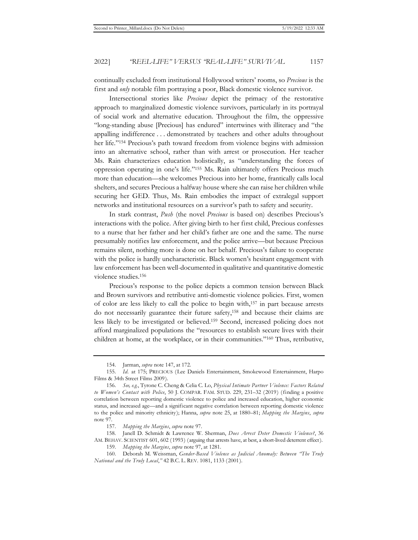continually excluded from institutional Hollywood writers' rooms, so *Precious* is the first and *only* notable film portraying a poor, Black domestic violence survivor.

Intersectional stories like *Precious* depict the primacy of the restorative approach to marginalized domestic violence survivors, particularly in its portrayal of social work and alternative education. Throughout the film, the oppressive "long-standing abuse [Precious] has endured" intertwines with illiteracy and "the appalling indifference . . . demonstrated by teachers and other adults throughout her life."154 Precious's path toward freedom from violence begins with admission into an alternative school, rather than with arrest or prosecution. Her teacher Ms. Rain characterizes education holistically, as "understanding the forces of oppression operating in one's life."155 Ms. Rain ultimately offers Precious much more than education—she welcomes Precious into her home, frantically calls local shelters, and secures Precious a halfway house where she can raise her children while securing her GED. Thus, Ms. Rain embodies the impact of extralegal support networks and institutional resources on a survivor's path to safety and security.

In stark contrast, *Push* (the novel *Precious* is based on) describes Precious's interactions with the police. After giving birth to her first child, Precious confesses to a nurse that her father and her child's father are one and the same. The nurse presumably notifies law enforcement, and the police arrive—but because Precious remains silent, nothing more is done on her behalf. Precious's failure to cooperate with the police is hardly uncharacteristic. Black women's hesitant engagement with law enforcement has been well-documented in qualitative and quantitative domestic violence studies.156

Precious's response to the police depicts a common tension between Black and Brown survivors and retributive anti-domestic violence policies. First, women of color are less likely to call the police to begin with,157 in part because arrests do not necessarily guarantee their future safety,158 and because their claims are less likely to be investigated or believed.159 Second, increased policing does not afford marginalized populations the "resources to establish secure lives with their children at home, at the workplace, or in their communities."160 Thus, retributive,

158. Janell D. Schmidt & Lawrence W. Sherman, *Does Arrest Deter Domestic Violence?*, 36 AM. BEHAV. SCIENTIST 601, 602 (1993) (arguing that arrests have, at best, a short-lived deterrent effect).

<sup>154.</sup> Jarman, *supra* note 147, at 172.

<sup>155.</sup> *Id.* at 175; PRECIOUS (Lee Daniels Entertainment, Smokewood Entertainment, Harpo Films & 34th Street Films 2009).

<sup>156.</sup> *See, e.g.*, Tyrone C. Cheng & Celia C. Lo, *Physical Intimate Partner Violence: Factors Related to Women's Contact with Police*, 50 J. COMPAR. FAM. STUD. 229, 231–32 (2019) (finding a positive correlation between reporting domestic violence to police and increased education, higher economic status, and increased age—and a significant negative correlation between reporting domestic violence to the police and minority ethnicity); Hanna, *supra* note 25, at 1880–81; *Mapping the Margins*, *supra*  note 97.

<sup>157.</sup> *Mapping the Margins*, *supra* note 97.

<sup>159.</sup> *Mapping the Margins*, *supra* note 97, at 1281.

<sup>160.</sup> Deborah M. Weissman, *Gender-Based Violence as Judicial Anomaly: Between "The Truly National and the Truly Local*,*"* 42 B.C. L. REV. 1081, 1133 (2001).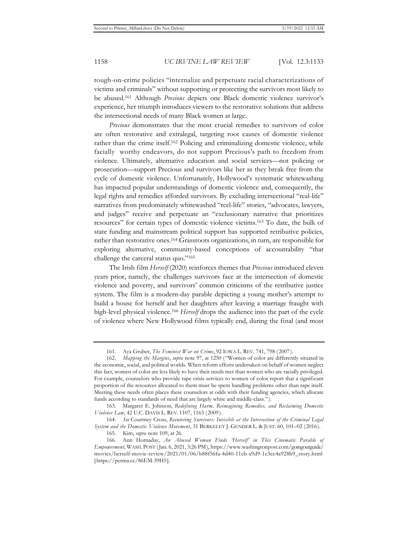tough-on-crime policies "internalize and perpetuate racial characterizations of victims and criminals" without supporting or protecting the survivors most likely to be abused.161 Although *Precious* depicts one Black domestic violence survivor's experience, her triumph introduces viewers to the restorative solutions that address the intersectional needs of many Black women at large.

*Precious* demonstrates that the most crucial remedies to survivors of color are often restorative and extralegal, targeting root causes of domestic violence rather than the crime itself.<sup>162</sup> Policing and criminalizing domestic violence, while facially worthy endeavors, do not support Precious's path to freedom from violence. Ultimately, alternative education and social services—not policing or prosecution—support Precious and survivors like her as they break free from the cycle of domestic violence. Unfortunately, Hollywood's systematic whitewashing has impacted popular understandings of domestic violence and, consequently, the legal rights and remedies afforded survivors. By excluding intersectional "real-life" narratives from predominately whitewashed "reel-life" stories, "advocates, lawyers, and judges" receive and perpetuate an "exclusionary narrative that prioritizes resources" for certain types of domestic violence victims.163 To date, the bulk of state funding and mainstream political support has supported retributive policies, rather than restorative ones.164 Grassroots organizations, in turn, are responsible for exploring alternative, community-based conceptions of accountability "that challenge the carceral status quo."165

The Irish film *Herself* (2020) reinforces themes that *Precious* introduced eleven years prior, namely, the challenges survivors face at the intersection of domestic violence and poverty, and survivors' common criticisms of the retributive justice system. The film is a modern-day parable depicting a young mother's attempt to build a house for herself and her daughters after leaving a marriage fraught with high-level physical violence.166 *Herself* drops the audience into the part of the cycle of violence where New Hollywood films typically end, during the final (and most

<sup>161.</sup> Aya Gruber, *The Feminist War on Crime*, 92 IOWA L. REV. 741, 798 (2007).

<sup>162.</sup> *Mapping the Margins*, *supra* note 97, at 1250 ("Women of color are differently situated in the economic, social, and political worlds. When reform efforts undertaken on behalf of women neglect this fact, women of color are less likely to have their needs met than women who are racially privileged. For example, counselors who provide rape crisis services to women of color report that a significant proportion of the resources allocated to them must be spent handling problems other than rape itself. Meeting these needs often places these counselors at odds with their funding agencies, which allocate funds according to standards of need that are largely white and middle-class.").

<sup>163.</sup> Margaret E. Johnson, *Redefining Harm, Reimagining Remedies, and Reclaiming Domestic Violence Law*, 42 U.C. DAVIS L. REV. 1107, 1163 (2009).

<sup>164.</sup> *See* Courtney Cross, *Reentering Survivors: Invisible at the Intersection of the Criminal Legal System and the Domestic Violence Movement*, 31 BERKELEY J. GENDER L. & JUST. 60, 101–02 (2016).

<sup>165.</sup> Kim, *supra* note 109, at 26.

<sup>166.</sup> Ann Hornaday, *An Abused Woman Finds 'Herself' in This Cinematic Parable of Empowerment*, WASH. POST (Jan. 6, 2021, 3:26 PM), https://www.washingtonpost.com/goingoutguide/ movies/herself-movie-review/2021/01/06/b88f56fa-4d40-11eb-a9d9-1e3ec4a928b9\_story.html [https://perma.cc/86EM-39H5].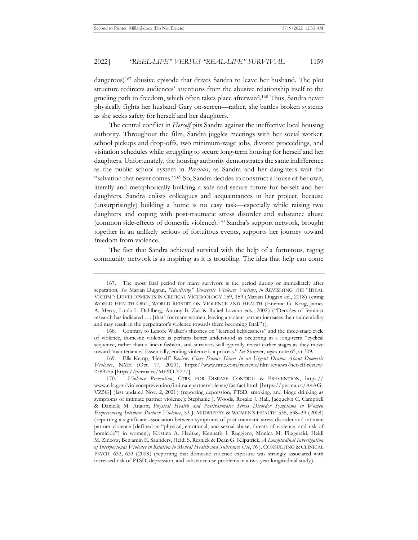dangerous)167 abusive episode that drives Sandra to leave her husband. The plot structure redirects audiences' attentions from the abusive relationship itself to the grueling path to freedom, which often takes place afterward.168 Thus, Sandra never physically fights her husband Gary on-screen—rather, she battles broken systems as she seeks safety for herself and her daughters.

The central conflict in *Herself* pits Sandra against the ineffective local housing authority. Throughout the film, Sandra juggles meetings with her social worker, school pickups and drop-offs, two minimum-wage jobs, divorce proceedings, and visitation schedules while struggling to secure long-term housing for herself and her daughters. Unfortunately, the housing authority demonstrates the same indifference as the public school system in *Precious*, as Sandra and her daughters wait for "salvation that never comes."169 So, Sandra decides to construct a house of her own, literally and metaphorically building a safe and secure future for herself and her daughters. Sandra enlists colleagues and acquaintances in her project, because (unsurprisingly) building a home is no easy task—especially while raising two daughters and coping with post-traumatic stress disorder and substance abuse (common side-effects of domestic violence).170 Sandra's support network, brought together in an unlikely serious of fortuitous events, supports her journey toward freedom from violence.

The fact that Sandra achieved survival with the help of a fortuitous, ragtag community network is as inspiring as it is troubling. The idea that help can come

<sup>167.</sup> The most fatal period for many survivors is the period during or immediately after separation. *See* Marian Duggan, *"Idealising" Domestic Violence Victims*, *in* REVISITING THE "IDEAL VICTIM": DEVELOPMENTS IN CRITICAL VICTIMOLOGY 159, 159 (Marian Duggan ed., 2018) (citing WORLD HEALTH ORG., WORLD REPORT ON VIOLENCE AND HEALTH (Etienne G. Krug, James A. Mercy, Linda L. Dahlberg, Antony B. Zwi & Rafael Lozano eds., 2002) ("Decades of feminist research has indicated . . . [that] for many women, leaving a violent partner increases their vulnerability and may result in the perpetrator's violence towards them becoming fatal.")).

<sup>168.</sup> Contrary to Lenore Walker's theories on "learned helplessness" and the three-stage cycle of violence, domestic violence is perhaps better understood as occurring in a long-term "cyclical sequence, rather than a linear fashion, and survivors will typically revisit earlier stages as they move toward 'maintenance.' Essentially, ending violence is a process." *See* Stoever, *supra* note 65, at 309.

<sup>169.</sup> Ella Kemp, *'*Herself' *Review: Clare Dunne Shines in an Urgent Drama About Domestic Violence*, NME (Oct. 17, 2020), https://www.nme.com/reviews/film-reviews/herself-review-2789755 [https://perma.cc/ME9D-Y277].

<sup>170.</sup> *Violence Prevention*, CTRS. FOR DISEASE CONTROL & PREVENTION, https:// www.cdc.gov/violenceprevention/intimatepartnerviolence/fastfact.html [https://perma.cc/A4AG-VZ5G] (last updated Nov. 2, 2021) (reporting depression, PTSD, smoking, and binge drinking as symptoms of intimate partner violence); Stephanie J. Woods, Rosalie J. Hall, Jacquelyn C. Campbell & Danielle M. Angott, *Physical Health and Posttraumatic Stress Disorder Symptoms in Women Experiencing Intimate Partner Violence*, 53 J. MIDWIFERY & WOMEN'S HEALTH 538, 538–39 (2008) (reporting a significant association between symptoms of post-traumatic stress disorder and intimate partner violence [defined as "physical, emotional, and sexual abuse, threats of violence, and risk of homicide"] in women); Kristina A. Hedtke, Kenneth J. Ruggiero, Monica M. Fitzgerald, Heidi M. Zinzow, Benjamin E. Saunders, Heidi S. Resnick & Dean G. Kilpatrick, *A Longitudinal Investigation of Interpersonal Violence in Relation to Mental Health and Substance Use*, 76 J. CONSULTING & CLINICAL PSYCH. 633, 633 (2008) (reporting that domestic violence exposure was strongly associated with increased risk of PTSD, depression, and substance use problems in a two-year longitudinal study).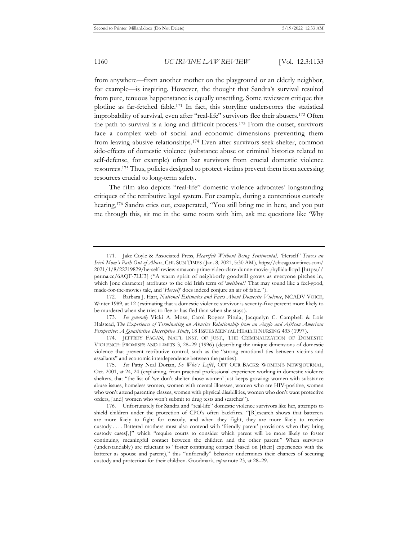from anywhere—from another mother on the playground or an elderly neighbor, for example—is inspiring. However, the thought that Sandra's survival resulted from pure, tenuous happenstance is equally unsettling. Some reviewers critique this plotline as far-fetched fable.171 In fact, this storyline underscores the statistical improbability of survival, even after "real-life" survivors flee their abusers.172 Often the path to survival is a long and difficult process.173 From the outset, survivors face a complex web of social and economic dimensions preventing them from leaving abusive relationships.174 Even after survivors seek shelter, common side-effects of domestic violence (substance abuse or criminal histories related to self-defense, for example) often bar survivors from crucial domestic violence resources.175 Thus, policies designed to protect victims prevent them from accessing resources crucial to long-term safety.

The film also depicts "real-life" domestic violence advocates' longstanding critiques of the retributive legal system. For example, during a contentious custody hearing,176 Sandra cries out, exasperated, "You still bring me in here, and you put me through this, sit me in the same room with him, ask me questions like 'Why

173. *See generally* Vicki A. Moss, Carol Rogers Pitula, Jacquelyn C. Campbell & Lois Halstead, *The Experience of Terminating an Abusive Relationship from an Anglo and African American Perspective: A Qualitative Descriptive Study*, 18 ISSUES MENTAL HEALTH NURSING 433 (1997).

174. JEFFREY FAGAN, NAT'L INST. OF JUST., THE CRIMINALIZATION OF DOMESTIC VIOLENCE: PROMISES AND LIMITS 3, 28–29 (1996) (describing the unique dimensions of domestic violence that prevent retributive control, such as the "strong emotional ties between victims and assailants" and economic interdependence between the parties).

<sup>171.</sup> Jake Coyle & Associated Press, *Heartfelt Without Being Sentimental, '*Herself*' Traces an Irish Mom's Path Out of Abuse*, CHI. SUN TIMES (Jan. 8, 2021, 5:30 AM), https://chicago.suntimes.com/ 2021/1/8/22219829/herself-review-amazon-prime-video-clare-dunne-movie-phyllida-lloyd [https:// perma.cc/6AQF-7LU3] ("A warm spirit of neighborly goodwill grows as everyone pitches in, which [one character] attributes to the old Irish term of '*meitheal*.' That may sound like a feel-good, made-for-the-movies tale, and '*Herself*' does indeed conjure an air of fable.").

<sup>172.</sup> Barbara J. Hart, *National Estimates and Facts About Domestic Violence*, NCADV VOICE, Winter 1989, at 12 (estimating that a domestic violence survivor is seventy-five percent more likely to be murdered when she tries to flee or has fled than when she stays).

<sup>175.</sup> *See* Patty Neal Dorian, *So Who's Left?*, OFF OUR BACKS: WOMEN'S NEWSJOURNAL, Oct. 2001, at 24, 24 (explaining, from practical professional experience working in domestic violence shelters, that "the list of 'we don't shelter those women' just keeps growing: women with substance abuse issues, homeless women, women with mental illnesses, women who are HIV-positive, women who won't attend parenting classes, women with physical disabilities, women who don't want protective orders, [and] women who won't submit to drug tests and searches").

<sup>176.</sup> Unfortunately for Sandra and "real-life" domestic violence survivors like her, attempts to shield children under the protection of CPO's often backfires. "[R]esearch shows that batterers are more likely to fight for custody, and when they fight, they are more likely to receive custody . . . . Battered mothers must also contend with 'friendly parent' provisions when they bring custody cases[,]" which "require courts to consider which parent will be more likely to foster continuing, meaningful contact between the children and the other parent." When survivors (understandably) are reluctant to "foster continuing contact (based on [their] experiences with the batterer as spouse and parent)," this "unfriendly" behavior undermines their chances of securing custody and protection for their children. Goodmark, *supra* note 23, at 28–29.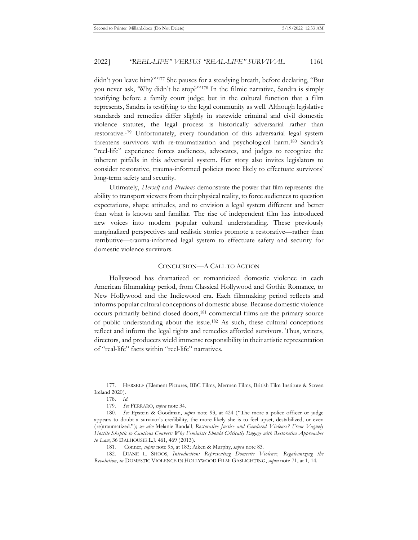didn't you leave him?'"177 She pauses for a steadying breath, before declaring, "But you never ask, 'Why didn't he stop?'"178 In the filmic narrative, Sandra is simply testifying before a family court judge; but in the cultural function that a film represents, Sandra is testifying to the legal community as well. Although legislative standards and remedies differ slightly in statewide criminal and civil domestic violence statutes, the legal process is historically adversarial rather than restorative.179 Unfortunately, every foundation of this adversarial legal system threatens survivors with re-traumatization and psychological harm.180 Sandra's "reel-life" experience forces audiences, advocates, and judges to recognize the inherent pitfalls in this adversarial system. Her story also invites legislators to consider restorative, trauma-informed policies more likely to effectuate survivors' long-term safety and security.

Ultimately, *Herself* and *Precious* demonstrate the power that film represents: the ability to transport viewers from their physical reality, to force audiences to question expectations, shape attitudes, and to envision a legal system different and better than what is known and familiar. The rise of independent film has introduced new voices into modern popular cultural understanding. These previously marginalized perspectives and realistic stories promote a restorative—rather than retributive—trauma-informed legal system to effectuate safety and security for domestic violence survivors.

#### CONCLUSION—A CALL TO ACTION

Hollywood has dramatized or romanticized domestic violence in each American filmmaking period, from Classical Hollywood and Gothic Romance, to New Hollywood and the Indiewood era. Each filmmaking period reflects and informs popular cultural conceptions of domestic abuse. Because domestic violence occurs primarily behind closed doors,<sup>181</sup> commercial films are the primary source of public understanding about the issue.182 As such, these cultural conceptions reflect and inform the legal rights and remedies afforded survivors. Thus, writers, directors, and producers wield immense responsibility in their artistic representation of "real-life" facts within "reel-life" narratives.

<sup>177.</sup> HERSELF (Element Pictures, BBC Films, Merman Films, British Film Institute & Screen Ireland 2020).

<sup>178.</sup> *Id.*

<sup>179.</sup> *See* FERRARO, *supra* note 34.

<sup>180.</sup> *See* Epstein & Goodman, *supra* note 93, at 424 ("The more a police officer or judge appears to doubt a survivor's credibility, the more likely she is to feel upset, destabilized, or even (re)traumatized."); *see also* Melanie Randall, *Restorative Justice and Gendered Violence? From Vaguely Hostile Skeptic to Cautious Convert: Why Feminists Should Critically Engage with Restorative Approaches to Law*, 36 DALHOUSIE L.J. 461, 469 (2013).

<sup>181.</sup> Conner, *supra* note 95, at 183; Aiken & Murphy, *supra* note 83.

<sup>182.</sup> DIANE L. SHOOS, *Introduction: Representing Domestic Violence, Regalvanizing the Revolution*, *in* DOMESTIC VIOLENCE IN HOLLYWOOD FILM: GASLIGHTING, *supra* note 71, at 1, 14.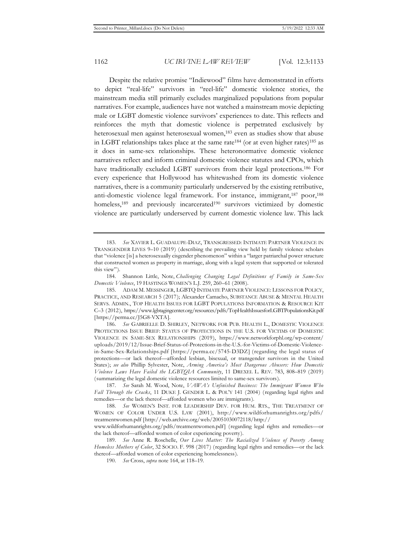Despite the relative promise "Indiewood" films have demonstrated in efforts to depict "real-life" survivors in "reel-life" domestic violence stories, the mainstream media still primarily excludes marginalized populations from popular narratives. For example, audiences have not watched a mainstream movie depicting male or LGBT domestic violence survivors' experiences to date. This reflects and reinforces the myth that domestic violence is perpetrated exclusively by heterosexual men against heterosexual women,<sup>183</sup> even as studies show that abuse in LGBT relationships takes place at the same rate<sup>184</sup> (or at even higher rates)<sup>185</sup> as it does in same-sex relationships. These heteronormative domestic violence narratives reflect and inform criminal domestic violence statutes and CPOs, which have traditionally excluded LGBT survivors from their legal protections.<sup>186</sup> For every experience that Hollywood has whitewashed from its domestic violence narratives, there is a community particularly underserved by the existing retributive, anti-domestic violence legal framework. For instance, immigrant,<sup>187</sup> poor,<sup>188</sup> homeless,<sup>189</sup> and previously incarcerated<sup>190</sup> survivors victimized by domestic violence are particularly underserved by current domestic violence law. This lack

<sup>183.</sup> *See* XAVIER L. GUADALUPE-DIAZ, TRANSGRESSED: INTIMATE PARTNER VIOLENCE IN TRANSGENDER LIVES 9–10 (2019) (describing the prevailing view held by family violence scholars that "violence [is] a heterosexually cisgender phenomenon" within a "larger patriarchal power structure that constructed women as property in marriage, along with a legal system that supported or tolerated this view").

<sup>184.</sup> Shannon Little, Note, *Challenging Changing Legal Definitions of Family in Same-Sex Domestic Violence*, 19 HASTINGS WOMEN'S L.J. 259, 260–61 (2008).

<sup>185.</sup> ADAM M. MESSINGER, LGBTQ INTIMATE PARTNER VIOLENCE: LESSONS FOR POLICY, PRACTICE, AND RESEARCH 5 (2017); Alexander Camacho, SUBSTANCE ABUSE & MENTAL HEALTH SERVS. ADMIN., TOP HEALTH ISSUES FOR LGBT POPULATIONS INFORMATION & RESOURCE KIT C–3 (2012), https://www.lgbtagingcenter.org/resources/pdfs/TopHealthIssuesforLGBTPopulationsKit.pdf [https://perma.cc/J5G8-VXTA].

<sup>186.</sup> *See* GABRIELLE D. SHIRLEY, NETWORK FOR PUB. HEALTH L., DOMESTIC VIOLENCE PROTECTIONS ISSUE BRIEF: STATUS OF PROTECTIONS IN THE U.S. FOR VICTIMS OF DOMESTIC VIOLENCE IN SAME-SEX RELATIONSHIPS (2019), https://www.networkforphl.org/wp-content/ uploads/2019/12/Issue-Brief-Status-of-Protections-in-the-U.S.-for-Victims-of-Domestic-Violencein-Same-Sex-Relationships.pdf [https://perma.cc/5745-D3DZ] (regarding the legal status of protections—or lack thereof—afforded lesbian, bisexual, or transgender survivors in the United States); *see also* Phillip Sylvester, Note, *Arming America's Most Dangerous Abusers: How Domestic Violence Laws Have Failed the LGBTQIA Community*, 11 DREXEL L. REV. 783, 808–819 (2019) (summarizing the legal domestic violence resources limited to same-sex survivors).

<sup>187.</sup> *See* Sarah M. Wood, Note, *VAWA's Unfinished Business: The Immigrant Women Who Fall Through the Cracks*, 11 DUKE J. GENDER L. & POL'Y 141 (2004) (regarding legal rights and remedies—or the lack thereof—afforded women who are immigrants).

<sup>188.</sup> *See* WOMEN'S INST. FOR LEADERSHIP DEV. FOR HUM. RTS., THE TREATMENT OF WOMEN OF COLOR UNDER U.S. LAW (2001), http://www.wildforhumanrights.org/pdfs/ treatmentwomen.pdf [http://web.archive.org/web/20051030072118/http://

www.wildforhumanrights.org/pdfs/treatmentwomen.pdf] (regarding legal rights and remedies—or the lack thereof—afforded women of color experiencing poverty).

<sup>189.</sup> *See* Anne R. Roschelle, *Our Lives Matter: The Racialized Violence of Poverty Among Homeless Mothers of Color*, 32 SOCIO. F. 998 (2017) (regarding legal rights and remedies—or the lack thereof—afforded women of color experiencing homelessness).

<sup>190.</sup> *See* Cross, *supra* note 164, at 118–19.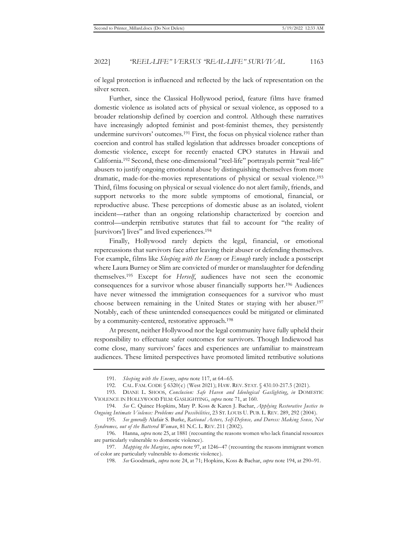of legal protection is influenced and reflected by the lack of representation on the silver screen.

Further, since the Classical Hollywood period, feature films have framed domestic violence as isolated acts of physical or sexual violence, as opposed to a broader relationship defined by coercion and control. Although these narratives have increasingly adopted feminist and post-feminist themes, they persistently undermine survivors' outcomes.191 First, the focus on physical violence rather than coercion and control has stalled legislation that addresses broader conceptions of domestic violence, except for recently enacted CPO statutes in Hawaii and California.192 Second, these one-dimensional "reel-life" portrayals permit "real-life" abusers to justify ongoing emotional abuse by distinguishing themselves from more dramatic, made-for-the-movies representations of physical or sexual violence.193 Third, films focusing on physical or sexual violence do not alert family, friends, and support networks to the more subtle symptoms of emotional, financial, or reproductive abuse. These perceptions of domestic abuse as an isolated, violent incident—rather than an ongoing relationship characterized by coercion and control—underpin retributive statutes that fail to account for "the reality of [survivors'] lives" and lived experiences.194

Finally, Hollywood rarely depicts the legal, financial, or emotional repercussions that survivors face after leaving their abuser or defending themselves. For example, films like *Sleeping with the Enemy* or *Enough* rarely include a postscript where Laura Burney or Slim are convicted of murder or manslaughter for defending themselves.195 Except for *Herself*, audiences have not seen the economic consequences for a survivor whose abuser financially supports her.196 Audiences have never witnessed the immigration consequences for a survivor who must choose between remaining in the United States or staying with her abuser.197 Notably, each of these unintended consequences could be mitigated or eliminated by a community-centered, restorative approach.198

At present, neither Hollywood nor the legal community have fully upheld their responsibility to effectuate safer outcomes for survivors. Though Indiewood has come close, many survivors' faces and experiences are unfamiliar to mainstream audiences. These limited perspectives have promoted limited retributive solutions

<sup>191.</sup> *Sleeping with the Enemy*, *supra* note 117, at 64–65.

<sup>192.</sup> CAL. FAM. CODE § 6320(c) (West 2021); HAW. REV. STAT. § 431:10-217.5 (2021).

<sup>193.</sup> DIANE L. SHOOS, *Conclusion: Safe Haven and Ideological Gaslighting*, *in* DOMESTIC VIOLENCE IN HOLLYWOOD FILM: GASLIGHTING, *supra* note 71, at 160.

<sup>194.</sup> *See* C. Quince Hopkins, Mary P. Koss & Karen J. Bachar, *Applying Restorative Justice to Ongoing Intimate Violence: Problems and Possibilities*, 23 ST. LOUIS U. PUB. L. REV. 289, 292 (2004).

<sup>195.</sup> *See generally* Alafair S. Burke, *Rational Actors, Self-Defense, and Duress: Making Sense, Not Syndromes, out of the Battered Woman*, 81 N.C. L. REV. 211 (2002).

<sup>196.</sup> Hanna, *supra* note 25, at 1881 (recounting the reasons women who lack financial resources are particularly vulnerable to domestic violence).

<sup>197.</sup> *Mapping the Margins*, *supra* note 97, at 1246–47 (recounting the reasons immigrant women of color are particularly vulnerable to domestic violence).

<sup>198.</sup> *See* Goodmark, *supra* note 24, at 71; Hopkins, Koss & Bachar, *supra* note 194, at 290–91.